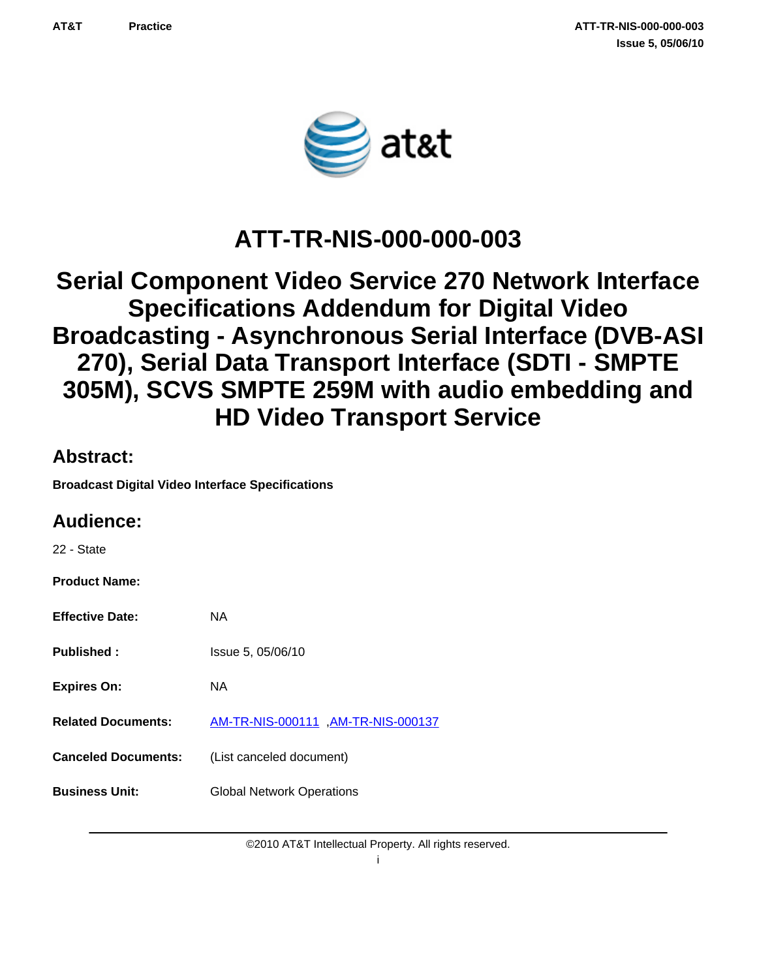

# **ATT-TR-NIS-000-000-003**

# **Serial Component Video Service 270 Network Interface Specifications Addendum for Digital Video Broadcasting - Asynchronous Serial Interface (DVB-ASI 270), Serial Data Transport Interface (SDTI - SMPTE 305M), SCVS SMPTE 259M with audio embedding and HD Video Transport Service**

### **Abstract:**

**Broadcast Digital Video Interface Specifications**

### **Audience:**

22 - State

**Product Name:**

| <b>Effective Date:</b>     | NA                                  |
|----------------------------|-------------------------------------|
| <b>Published:</b>          | Issue 5, 05/06/10                   |
| <b>Expires On:</b>         | NA                                  |
| <b>Related Documents:</b>  | AM-TR-NIS-000111 , AM-TR-NIS-000137 |
| <b>Canceled Documents:</b> | (List canceled document)            |
| <b>Business Unit:</b>      | <b>Global Network Operations</b>    |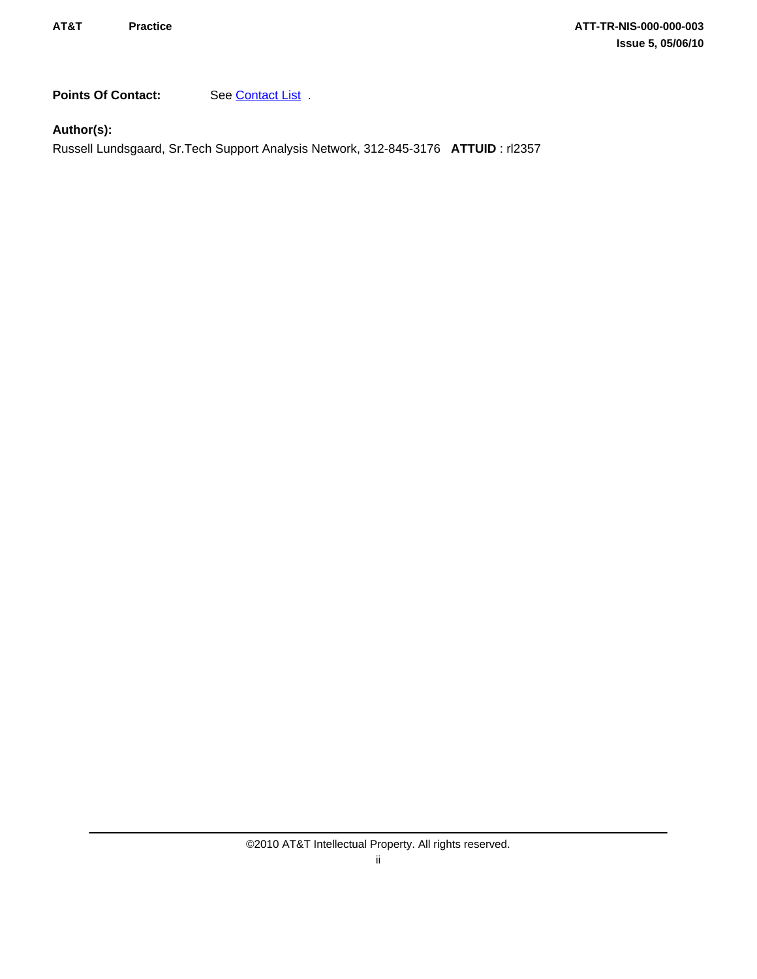Points Of Contact: See [Contact List](#page-30-0) .

**Author(s):**

Russell Lundsgaard, Sr.Tech Support Analysis Network, 312-845-3176 **ATTUID** : rl2357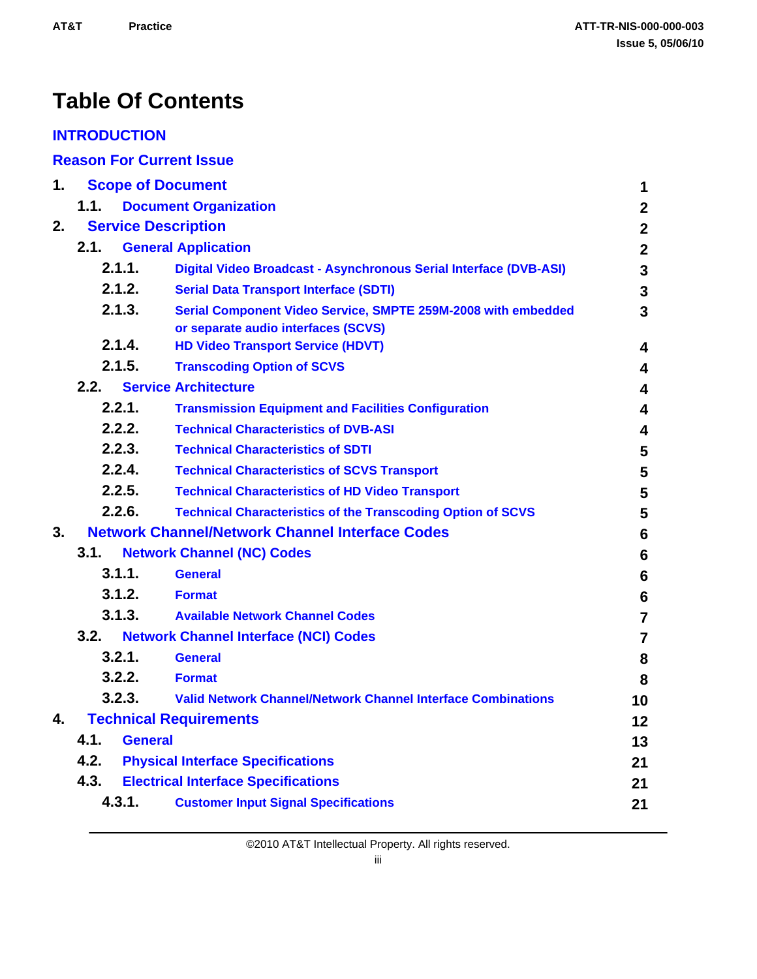# **Table Of Contents**

### **[INTRODUCTION](#page-4-0)**

**[Reason For Current Issue](#page-4-0)**

| 1.                               |      |                | <b>Scope of Document</b>                                                                             | 1                       |
|----------------------------------|------|----------------|------------------------------------------------------------------------------------------------------|-------------------------|
|                                  | 1.1. |                | <b>Document Organization</b>                                                                         | $\boldsymbol{2}$        |
| <b>Service Description</b><br>2. |      |                |                                                                                                      | $\mathbf{2}$            |
|                                  | 2.1. |                | <b>General Application</b>                                                                           | $\mathbf{2}$            |
|                                  |      | 2.1.1.         | Digital Video Broadcast - Asynchronous Serial Interface (DVB-ASI)                                    | $\mathbf{3}$            |
|                                  |      | 2.1.2.         | <b>Serial Data Transport Interface (SDTI)</b>                                                        | $\mathbf{3}$            |
|                                  |      | 2.1.3.         | Serial Component Video Service, SMPTE 259M-2008 with embedded<br>or separate audio interfaces (SCVS) | $\overline{3}$          |
|                                  |      | 2.1.4.         | <b>HD Video Transport Service (HDVT)</b>                                                             | 4                       |
|                                  |      | 2.1.5.         | <b>Transcoding Option of SCVS</b>                                                                    | $\overline{\mathbf{4}}$ |
|                                  | 2.2. |                | <b>Service Architecture</b>                                                                          | $\overline{\mathbf{4}}$ |
|                                  |      | 2.2.1.         | <b>Transmission Equipment and Facilities Configuration</b>                                           | $\overline{\mathbf{4}}$ |
|                                  |      | 2.2.2.         | <b>Technical Characteristics of DVB-ASI</b>                                                          | 4                       |
|                                  |      | 2.2.3.         | <b>Technical Characteristics of SDTI</b>                                                             | $5\phantom{.0}$         |
|                                  |      | 2.2.4.         | <b>Technical Characteristics of SCVS Transport</b>                                                   | 5                       |
|                                  |      | 2.2.5.         | <b>Technical Characteristics of HD Video Transport</b>                                               | 5                       |
|                                  |      | 2.2.6.         | <b>Technical Characteristics of the Transcoding Option of SCVS</b>                                   | $5\phantom{1}$          |
| 3.                               |      |                | <b>Network Channel/Network Channel Interface Codes</b>                                               | $6\phantom{1}$          |
|                                  | 3.1. |                | <b>Network Channel (NC) Codes</b>                                                                    | $6\phantom{a}$          |
|                                  |      | 3.1.1.         | <b>General</b>                                                                                       | 6                       |
|                                  |      | 3.1.2.         | <b>Format</b>                                                                                        | 6                       |
|                                  |      | 3.1.3.         | <b>Available Network Channel Codes</b>                                                               | $\overline{7}$          |
|                                  | 3.2. |                | <b>Network Channel Interface (NCI) Codes</b>                                                         | $\overline{7}$          |
|                                  |      | 3.2.1.         | <b>General</b>                                                                                       | 8                       |
|                                  |      | 3.2.2.         | <b>Format</b>                                                                                        | 8                       |
|                                  |      | 3.2.3.         | <b>Valid Network Channel/Network Channel Interface Combinations</b>                                  | 10                      |
| 4.                               |      |                | <b>Technical Requirements</b>                                                                        | 12                      |
|                                  | 4.1. | <b>General</b> |                                                                                                      | 13                      |
|                                  | 4.2. |                | <b>Physical Interface Specifications</b>                                                             | 21                      |
|                                  | 4.3. |                | <b>Electrical Interface Specifications</b>                                                           | 21                      |
|                                  |      | 4.3.1.         | <b>Customer Input Signal Specifications</b>                                                          | 21                      |
|                                  |      |                |                                                                                                      |                         |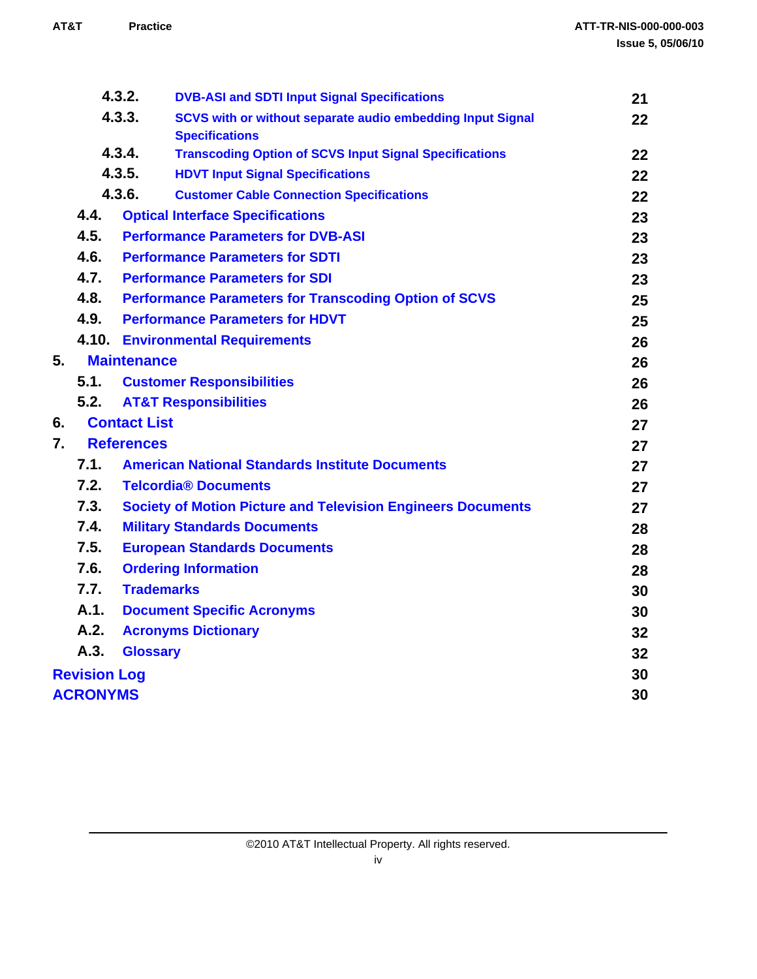|                  |                     | 4.3.2.<br><b>DVB-ASI and SDTI Input Signal Specifications</b>       | 21 |
|------------------|---------------------|---------------------------------------------------------------------|----|
| 4.3.3.           |                     | SCVS with or without separate audio embedding Input Signal          | 22 |
|                  |                     | <b>Specifications</b>                                               |    |
| 4.3.4.<br>4.3.5. |                     | <b>Transcoding Option of SCVS Input Signal Specifications</b>       | 22 |
|                  |                     | <b>HDVT Input Signal Specifications</b>                             | 22 |
|                  |                     | 4.3.6.<br><b>Customer Cable Connection Specifications</b>           | 22 |
|                  | 4.4.                | <b>Optical Interface Specifications</b>                             | 23 |
|                  | 4.5.                | <b>Performance Parameters for DVB-ASI</b>                           | 23 |
|                  | 4.6.                | <b>Performance Parameters for SDTI</b>                              | 23 |
|                  | 4.7.                | <b>Performance Parameters for SDI</b>                               | 23 |
|                  | 4.8.                | <b>Performance Parameters for Transcoding Option of SCVS</b>        | 25 |
|                  | 4.9.                | <b>Performance Parameters for HDVT</b>                              | 25 |
|                  |                     | <b>4.10. Environmental Requirements</b>                             | 26 |
| 5.               |                     | <b>Maintenance</b>                                                  | 26 |
|                  | 5.1.                | <b>Customer Responsibilities</b>                                    | 26 |
|                  | 5.2.                | <b>AT&amp;T Responsibilities</b>                                    | 26 |
| 6.               |                     | <b>Contact List</b>                                                 | 27 |
| 7.               |                     | <b>References</b>                                                   | 27 |
|                  | 7.1.                | <b>American National Standards Institute Documents</b>              | 27 |
|                  | 7.2.                | <b>Telcordia® Documents</b>                                         | 27 |
|                  | 7.3.                | <b>Society of Motion Picture and Television Engineers Documents</b> | 27 |
|                  | 7.4.                | <b>Military Standards Documents</b>                                 | 28 |
|                  | 7.5.                | <b>European Standards Documents</b>                                 | 28 |
|                  | 7.6.                | <b>Ordering Information</b>                                         | 28 |
|                  | 7.7.                | <b>Trademarks</b>                                                   | 30 |
|                  | A.1.                | <b>Document Specific Acronyms</b>                                   | 30 |
|                  | A.2.                | <b>Acronyms Dictionary</b>                                          | 32 |
|                  | A.3.                | <b>Glossary</b>                                                     | 32 |
|                  | <b>Revision Log</b> |                                                                     | 30 |
|                  | <b>ACRONYMS</b>     |                                                                     | 30 |
|                  |                     |                                                                     |    |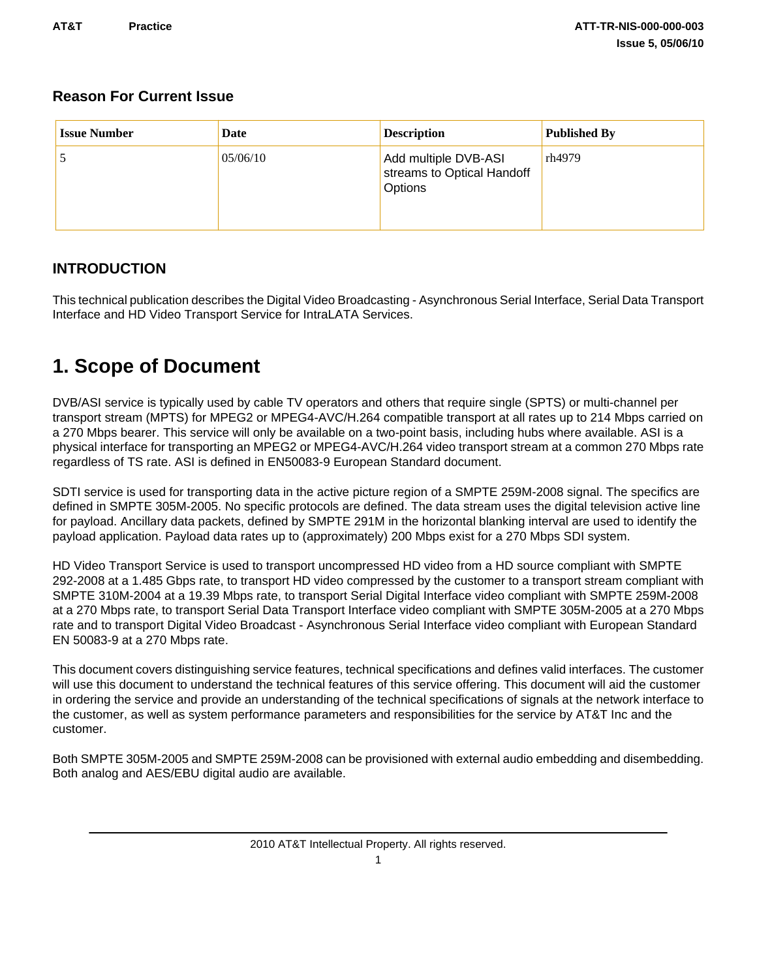### <span id="page-4-0"></span>**Reason For Current Issue**

| <b>Issue Number</b> | Date     | <b>Description</b>                                            | <b>Published By</b> |
|---------------------|----------|---------------------------------------------------------------|---------------------|
|                     | 05/06/10 | Add multiple DVB-ASI<br>streams to Optical Handoff<br>Options | rh4979              |

### **INTRODUCTION**

This technical publication describes the Digital Video Broadcasting - Asynchronous Serial Interface, Serial Data Transport Interface and HD Video Transport Service for IntraLATA Services.

## **1. Scope of Document**

DVB/ASI service is typically used by cable TV operators and others that require single (SPTS) or multi-channel per transport stream (MPTS) for MPEG2 or MPEG4-AVC/H.264 compatible transport at all rates up to 214 Mbps carried on a 270 Mbps bearer. This service will only be available on a two-point basis, including hubs where available. ASI is a physical interface for transporting an MPEG2 or MPEG4-AVC/H.264 video transport stream at a common 270 Mbps rate regardless of TS rate. ASI is defined in EN50083-9 European Standard document.

SDTI service is used for transporting data in the active picture region of a SMPTE 259M-2008 signal. The specifics are defined in SMPTE 305M-2005. No specific protocols are defined. The data stream uses the digital television active line for payload. Ancillary data packets, defined by SMPTE 291M in the horizontal blanking interval are used to identify the payload application. Payload data rates up to (approximately) 200 Mbps exist for a 270 Mbps SDI system.

HD Video Transport Service is used to transport uncompressed HD video from a HD source compliant with SMPTE 292-2008 at a 1.485 Gbps rate, to transport HD video compressed by the customer to a transport stream compliant with SMPTE 310M-2004 at a 19.39 Mbps rate, to transport Serial Digital Interface video compliant with SMPTE 259M-2008 at a 270 Mbps rate, to transport Serial Data Transport Interface video compliant with SMPTE 305M-2005 at a 270 Mbps rate and to transport Digital Video Broadcast - Asynchronous Serial Interface video compliant with European Standard EN 50083-9 at a 270 Mbps rate.

This document covers distinguishing service features, technical specifications and defines valid interfaces. The customer will use this document to understand the technical features of this service offering. This document will aid the customer in ordering the service and provide an understanding of the technical specifications of signals at the network interface to the customer, as well as system performance parameters and responsibilities for the service by AT&T Inc and the customer.

Both SMPTE 305M-2005 and SMPTE 259M-2008 can be provisioned with external audio embedding and disembedding. Both analog and AES/EBU digital audio are available.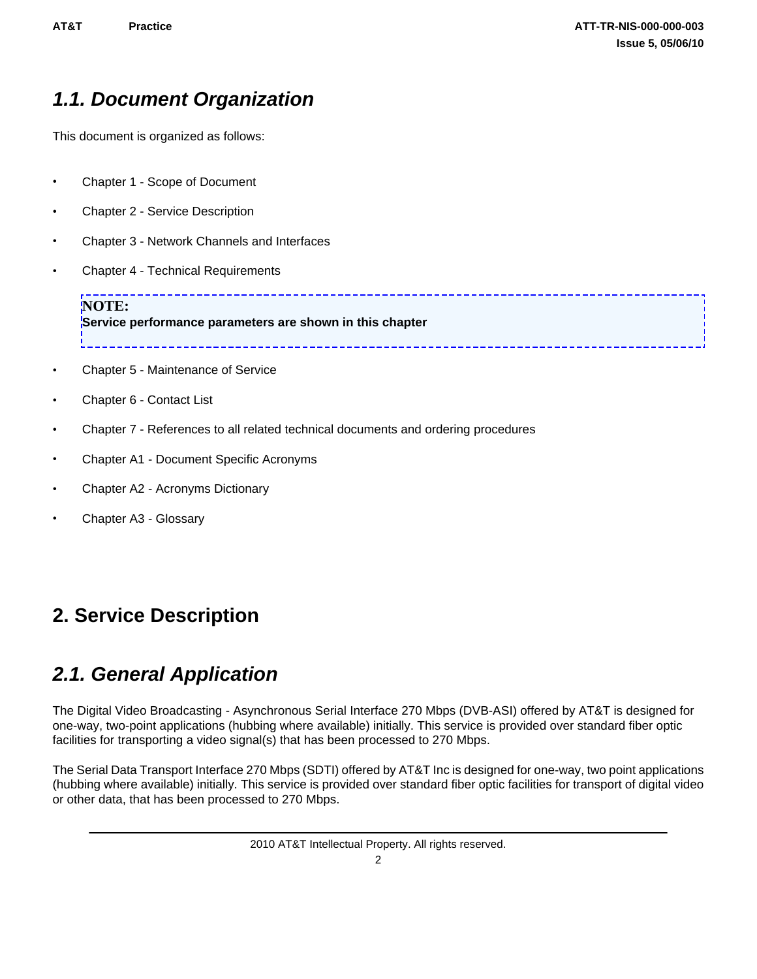## <span id="page-5-0"></span>*1.1. Document Organization*

This document is organized as follows:

- Chapter 1 Scope of Document
- Chapter 2 Service Description
- Chapter 3 Network Channels and Interfaces
- Chapter 4 Technical Requirements

**NOTE: Service performance parameters are shown in this chapter** 

- Chapter 5 Maintenance of Service
- Chapter 6 Contact List
- Chapter 7 References to all related technical documents and ordering procedures
- Chapter A1 Document Specific Acronyms
- Chapter A2 Acronyms Dictionary
- Chapter A3 Glossary

### **2. Service Description**

### *2.1. General Application*

The Digital Video Broadcasting - Asynchronous Serial Interface 270 Mbps (DVB-ASI) offered by AT&T is designed for one-way, two-point applications (hubbing where available) initially. This service is provided over standard fiber optic facilities for transporting a video signal(s) that has been processed to 270 Mbps.

--------------------------------

The Serial Data Transport Interface 270 Mbps (SDTI) offered by AT&T Inc is designed for one-way, two point applications (hubbing where available) initially. This service is provided over standard fiber optic facilities for transport of digital video or other data, that has been processed to 270 Mbps.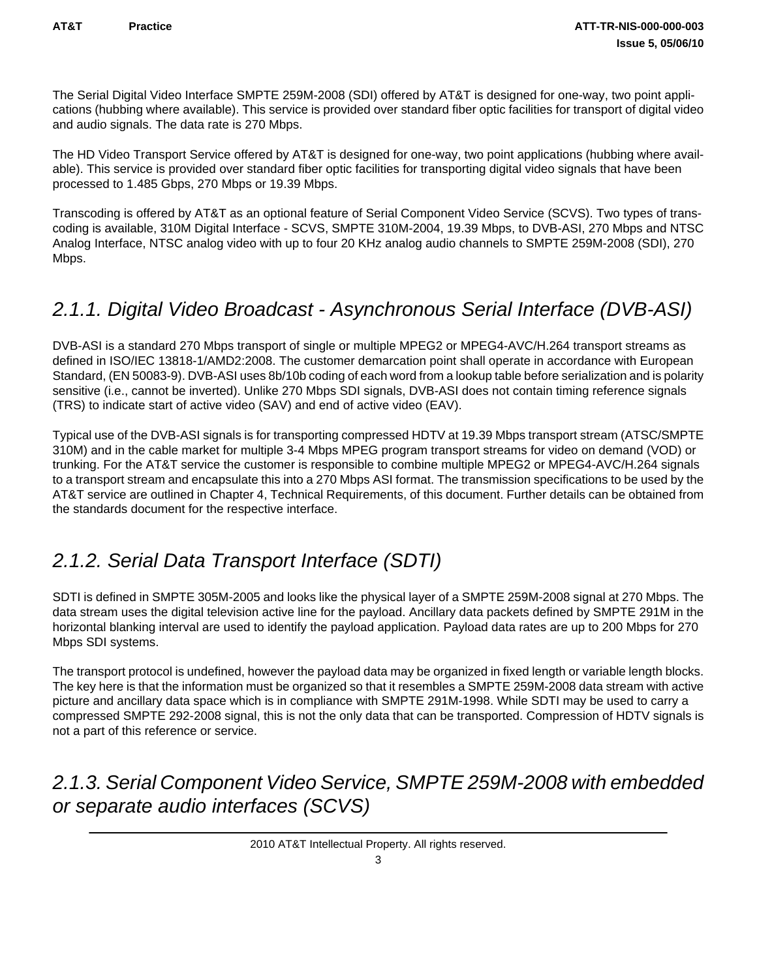<span id="page-6-0"></span>The Serial Digital Video Interface SMPTE 259M-2008 (SDI) offered by AT&T is designed for one-way, two point applications (hubbing where available). This service is provided over standard fiber optic facilities for transport of digital video and audio signals. The data rate is 270 Mbps.

The HD Video Transport Service offered by AT&T is designed for one-way, two point applications (hubbing where available). This service is provided over standard fiber optic facilities for transporting digital video signals that have been processed to 1.485 Gbps, 270 Mbps or 19.39 Mbps.

Transcoding is offered by AT&T as an optional feature of Serial Component Video Service (SCVS). Two types of transcoding is available, 310M Digital Interface - SCVS, SMPTE 310M-2004, 19.39 Mbps, to DVB-ASI, 270 Mbps and NTSC Analog Interface, NTSC analog video with up to four 20 KHz analog audio channels to SMPTE 259M-2008 (SDI), 270 Mbps.

## *2.1.1. Digital Video Broadcast - Asynchronous Serial Interface (DVB-ASI)*

DVB-ASI is a standard 270 Mbps transport of single or multiple MPEG2 or MPEG4-AVC/H.264 transport streams as defined in ISO/IEC 13818-1/AMD2:2008. The customer demarcation point shall operate in accordance with European Standard, (EN 50083-9). DVB-ASI uses 8b/10b coding of each word from a lookup table before serialization and is polarity sensitive (i.e., cannot be inverted). Unlike 270 Mbps SDI signals, DVB-ASI does not contain timing reference signals (TRS) to indicate start of active video (SAV) and end of active video (EAV).

Typical use of the DVB-ASI signals is for transporting compressed HDTV at 19.39 Mbps transport stream (ATSC/SMPTE 310M) and in the cable market for multiple 3-4 Mbps MPEG program transport streams for video on demand (VOD) or trunking. For the AT&T service the customer is responsible to combine multiple MPEG2 or MPEG4-AVC/H.264 signals to a transport stream and encapsulate this into a 270 Mbps ASI format. The transmission specifications to be used by the AT&T service are outlined in Chapter 4, Technical Requirements, of this document. Further details can be obtained from the standards document for the respective interface.

### *2.1.2. Serial Data Transport Interface (SDTI)*

SDTI is defined in SMPTE 305M-2005 and looks like the physical layer of a SMPTE 259M-2008 signal at 270 Mbps. The data stream uses the digital television active line for the payload. Ancillary data packets defined by SMPTE 291M in the horizontal blanking interval are used to identify the payload application. Payload data rates are up to 200 Mbps for 270 Mbps SDI systems.

The transport protocol is undefined, however the payload data may be organized in fixed length or variable length blocks. The key here is that the information must be organized so that it resembles a SMPTE 259M-2008 data stream with active picture and ancillary data space which is in compliance with SMPTE 291M-1998. While SDTI may be used to carry a compressed SMPTE 292-2008 signal, this is not the only data that can be transported. Compression of HDTV signals is not a part of this reference or service.

## *2.1.3. Serial Component Video Service, SMPTE 259M-2008 with embedded or separate audio interfaces (SCVS)*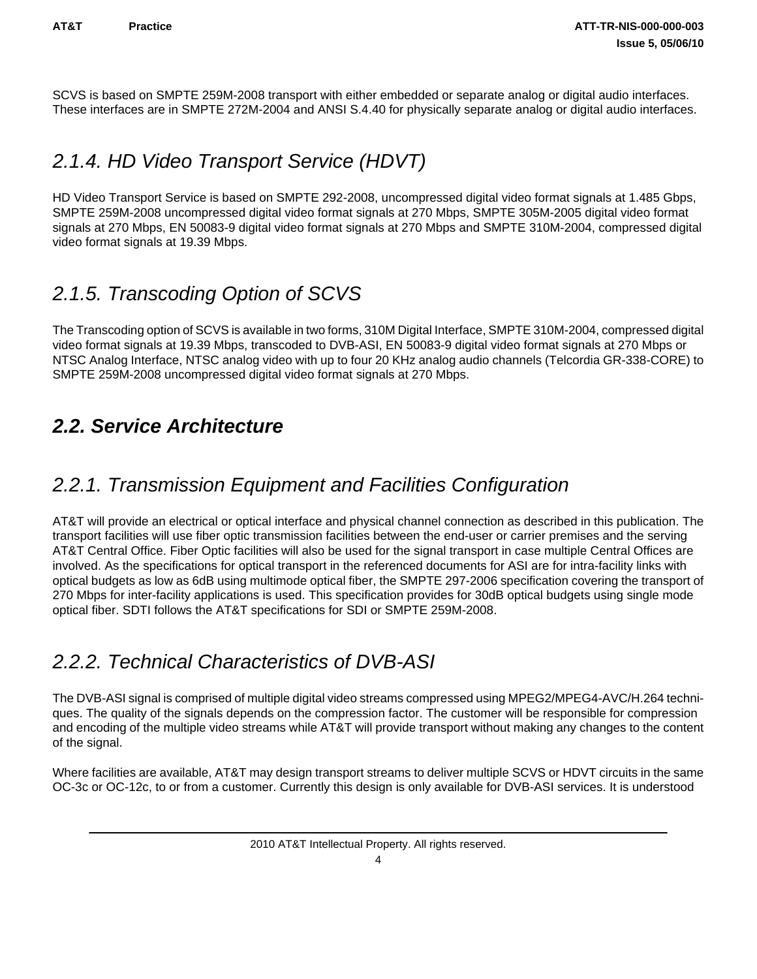<span id="page-7-0"></span>SCVS is based on SMPTE 259M-2008 transport with either embedded or separate analog or digital audio interfaces. These interfaces are in SMPTE 272M-2004 and ANSI S.4.40 for physically separate analog or digital audio interfaces.

### *2.1.4. HD Video Transport Service (HDVT)*

HD Video Transport Service is based on SMPTE 292-2008, uncompressed digital video format signals at 1.485 Gbps, SMPTE 259M-2008 uncompressed digital video format signals at 270 Mbps, SMPTE 305M-2005 digital video format signals at 270 Mbps, EN 50083-9 digital video format signals at 270 Mbps and SMPTE 310M-2004, compressed digital video format signals at 19.39 Mbps.

## *2.1.5. Transcoding Option of SCVS*

The Transcoding option of SCVS is available in two forms, 310M Digital Interface, SMPTE 310M-2004, compressed digital video format signals at 19.39 Mbps, transcoded to DVB-ASI, EN 50083-9 digital video format signals at 270 Mbps or NTSC Analog Interface, NTSC analog video with up to four 20 KHz analog audio channels (Telcordia GR-338-CORE) to SMPTE 259M-2008 uncompressed digital video format signals at 270 Mbps.

## *2.2. Service Architecture*

## *2.2.1. Transmission Equipment and Facilities Configuration*

AT&T will provide an electrical or optical interface and physical channel connection as described in this publication. The transport facilities will use fiber optic transmission facilities between the end-user or carrier premises and the serving AT&T Central Office. Fiber Optic facilities will also be used for the signal transport in case multiple Central Offices are involved. As the specifications for optical transport in the referenced documents for ASI are for intra-facility links with optical budgets as low as 6dB using multimode optical fiber, the SMPTE 297-2006 specification covering the transport of 270 Mbps for inter-facility applications is used. This specification provides for 30dB optical budgets using single mode optical fiber. SDTI follows the AT&T specifications for SDI or SMPTE 259M-2008.

## *2.2.2. Technical Characteristics of DVB-ASI*

The DVB-ASI signal is comprised of multiple digital video streams compressed using MPEG2/MPEG4-AVC/H.264 techniques. The quality of the signals depends on the compression factor. The customer will be responsible for compression and encoding of the multiple video streams while AT&T will provide transport without making any changes to the content of the signal.

Where facilities are available, AT&T may design transport streams to deliver multiple SCVS or HDVT circuits in the same OC-3c or OC-12c, to or from a customer. Currently this design is only available for DVB-ASI services. It is understood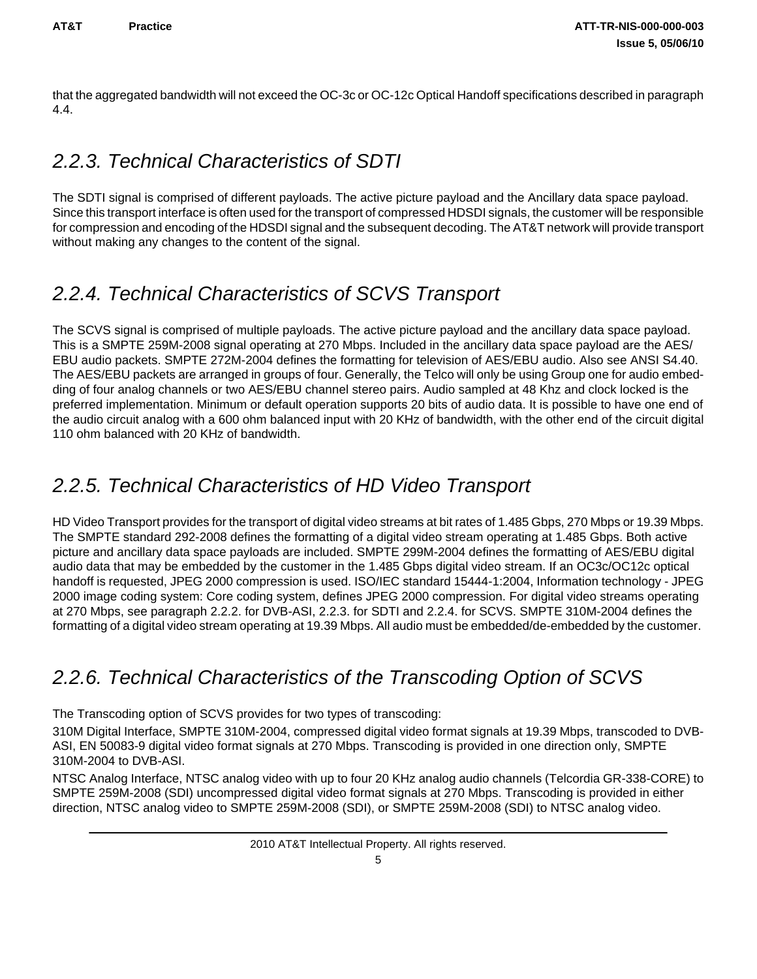<span id="page-8-0"></span>that the aggregated bandwidth will not exceed the OC-3c or OC-12c Optical Handoff specifications described in paragraph 4.4.

### *2.2.3. Technical Characteristics of SDTI*

The SDTI signal is comprised of different payloads. The active picture payload and the Ancillary data space payload. Since this transport interface is often used for the transport of compressed HDSDI signals, the customer will be responsible for compression and encoding of the HDSDI signal and the subsequent decoding. The AT&T network will provide transport without making any changes to the content of the signal.

### *2.2.4. Technical Characteristics of SCVS Transport*

The SCVS signal is comprised of multiple payloads. The active picture payload and the ancillary data space payload. This is a SMPTE 259M-2008 signal operating at 270 Mbps. Included in the ancillary data space payload are the AES/ EBU audio packets. SMPTE 272M-2004 defines the formatting for television of AES/EBU audio. Also see ANSI S4.40. The AES/EBU packets are arranged in groups of four. Generally, the Telco will only be using Group one for audio embedding of four analog channels or two AES/EBU channel stereo pairs. Audio sampled at 48 Khz and clock locked is the preferred implementation. Minimum or default operation supports 20 bits of audio data. It is possible to have one end of the audio circuit analog with a 600 ohm balanced input with 20 KHz of bandwidth, with the other end of the circuit digital 110 ohm balanced with 20 KHz of bandwidth.

## *2.2.5. Technical Characteristics of HD Video Transport*

HD Video Transport provides for the transport of digital video streams at bit rates of 1.485 Gbps, 270 Mbps or 19.39 Mbps. The SMPTE standard 292-2008 defines the formatting of a digital video stream operating at 1.485 Gbps. Both active picture and ancillary data space payloads are included. SMPTE 299M-2004 defines the formatting of AES/EBU digital audio data that may be embedded by the customer in the 1.485 Gbps digital video stream. If an OC3c/OC12c optical handoff is requested, JPEG 2000 compression is used. ISO/IEC standard 15444-1:2004, Information technology - JPEG 2000 image coding system: Core coding system, defines JPEG 2000 compression. For digital video streams operating at 270 Mbps, see paragraph 2.2.2. for DVB-ASI, 2.2.3. for SDTI and 2.2.4. for SCVS. SMPTE 310M-2004 defines the formatting of a digital video stream operating at 19.39 Mbps. All audio must be embedded/de-embedded by the customer.

# *2.2.6. Technical Characteristics of the Transcoding Option of SCVS*

The Transcoding option of SCVS provides for two types of transcoding:

310M Digital Interface, SMPTE 310M-2004, compressed digital video format signals at 19.39 Mbps, transcoded to DVB-ASI, EN 50083-9 digital video format signals at 270 Mbps. Transcoding is provided in one direction only, SMPTE 310M-2004 to DVB-ASI.

NTSC Analog Interface, NTSC analog video with up to four 20 KHz analog audio channels (Telcordia GR-338-CORE) to SMPTE 259M-2008 (SDI) uncompressed digital video format signals at 270 Mbps. Transcoding is provided in either direction, NTSC analog video to SMPTE 259M-2008 (SDI), or SMPTE 259M-2008 (SDI) to NTSC analog video.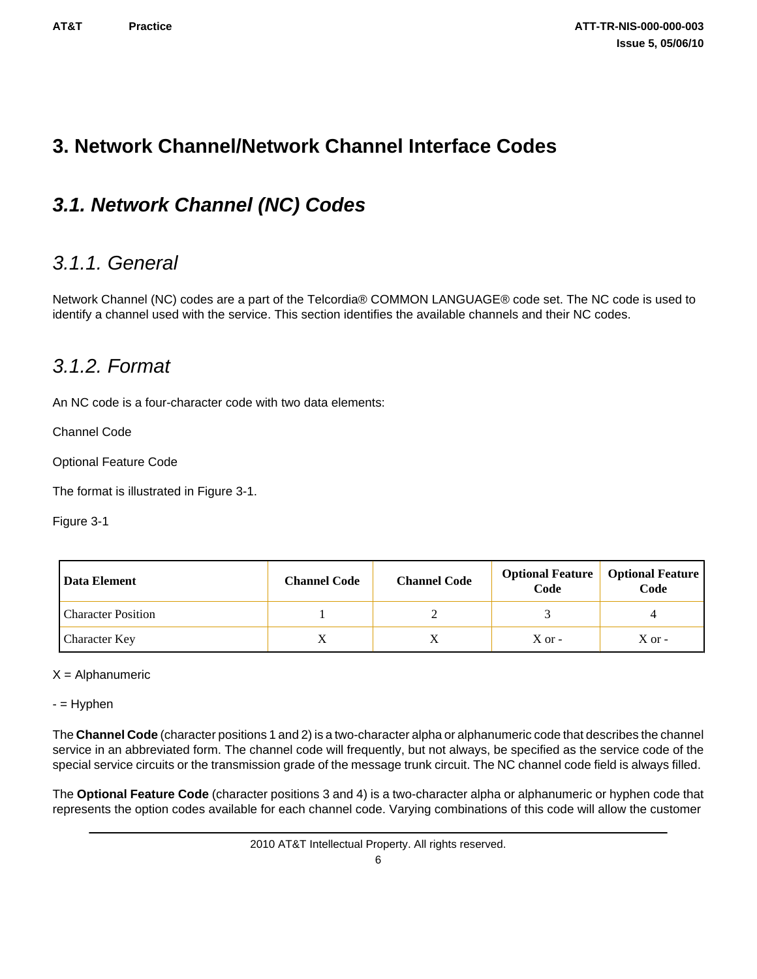### <span id="page-9-0"></span>**3. Network Channel/Network Channel Interface Codes**

## *3.1. Network Channel (NC) Codes*

### *3.1.1. General*

Network Channel (NC) codes are a part of the Telcordia® COMMON LANGUAGE® code set. The NC code is used to identify a channel used with the service. This section identifies the available channels and their NC codes.

### *3.1.2. Format*

An NC code is a four-character code with two data elements:

Channel Code

Optional Feature Code

The format is illustrated in Figure 3-1.

Figure 3-1

| Data Element              | <b>Channel Code</b> | <b>Channel Code</b> | <b>Optional Feature</b><br>Code | <b>Optional Feature</b><br>Code |
|---------------------------|---------------------|---------------------|---------------------------------|---------------------------------|
| <b>Character Position</b> |                     |                     |                                 |                                 |
| <b>Character Key</b>      | Δ                   |                     | $X$ or $-$                      | $X$ or $-$                      |

#### $X =$  Alphanumeric

- = Hyphen

The **Channel Code** (character positions 1 and 2) is a two-character alpha or alphanumeric code that describes the channel service in an abbreviated form. The channel code will frequently, but not always, be specified as the service code of the special service circuits or the transmission grade of the message trunk circuit. The NC channel code field is always filled.

The **Optional Feature Code** (character positions 3 and 4) is a two-character alpha or alphanumeric or hyphen code that represents the option codes available for each channel code. Varying combinations of this code will allow the customer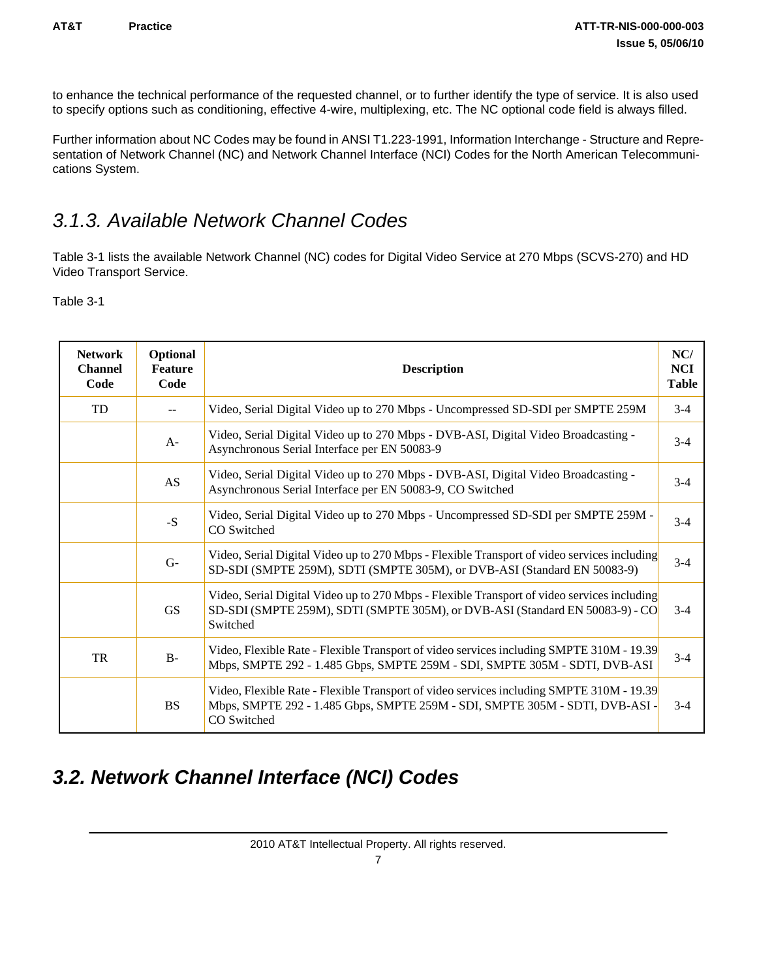<span id="page-10-0"></span>to enhance the technical performance of the requested channel, or to further identify the type of service. It is also used to specify options such as conditioning, effective 4-wire, multiplexing, etc. The NC optional code field is always filled.

Further information about NC Codes may be found in ANSI T1.223-1991, Information Interchange - Structure and Representation of Network Channel (NC) and Network Channel Interface (NCI) Codes for the North American Telecommunications System.

### *3.1.3. Available Network Channel Codes*

Table 3-1 lists the available Network Channel (NC) codes for Digital Video Service at 270 Mbps (SCVS-270) and HD Video Transport Service.

Table 3-1

| <b>Network</b><br><b>Channel</b><br>Code | Optional<br><b>Feature</b><br>Code | <b>Description</b>                                                                                                                                                                       | NC/<br><b>NCI</b><br><b>Table</b> |
|------------------------------------------|------------------------------------|------------------------------------------------------------------------------------------------------------------------------------------------------------------------------------------|-----------------------------------|
| TD                                       |                                    | Video, Serial Digital Video up to 270 Mbps - Uncompressed SD-SDI per SMPTE 259M                                                                                                          | $3-4$                             |
|                                          | $A-$                               | Video, Serial Digital Video up to 270 Mbps - DVB-ASI, Digital Video Broadcasting -<br>Asynchronous Serial Interface per EN 50083-9                                                       | $3-4$                             |
|                                          | AS                                 | Video, Serial Digital Video up to 270 Mbps - DVB-ASI, Digital Video Broadcasting -<br>Asynchronous Serial Interface per EN 50083-9, CO Switched                                          | $3-4$                             |
|                                          | $-S$                               | Video, Serial Digital Video up to 270 Mbps - Uncompressed SD-SDI per SMPTE 259M -<br>CO Switched                                                                                         | $3-4$                             |
|                                          | $G-$                               | Video, Serial Digital Video up to 270 Mbps - Flexible Transport of video services including<br>SD-SDI (SMPTE 259M), SDTI (SMPTE 305M), or DVB-ASI (Standard EN 50083-9)                  | $3-4$                             |
|                                          | <b>GS</b>                          | Video, Serial Digital Video up to 270 Mbps - Flexible Transport of video services including<br>SD-SDI (SMPTE 259M), SDTI (SMPTE 305M), or DVB-ASI (Standard EN 50083-9) - CO<br>Switched | $3-4$                             |
| TR                                       | $B -$                              | Video, Flexible Rate - Flexible Transport of video services including SMPTE 310M - 19.39<br>Mbps, SMPTE 292 - 1.485 Gbps, SMPTE 259M - SDI, SMPTE 305M - SDTI, DVB-ASI                   | $3-4$                             |
|                                          | <b>BS</b>                          | Video, Flexible Rate - Flexible Transport of video services including SMPTE 310M - 19.39<br>Mbps, SMPTE 292 - 1.485 Gbps, SMPTE 259M - SDI, SMPTE 305M - SDTI, DVB-ASI -<br>CO Switched  | $3-4$                             |

## *3.2. Network Channel Interface (NCI) Codes*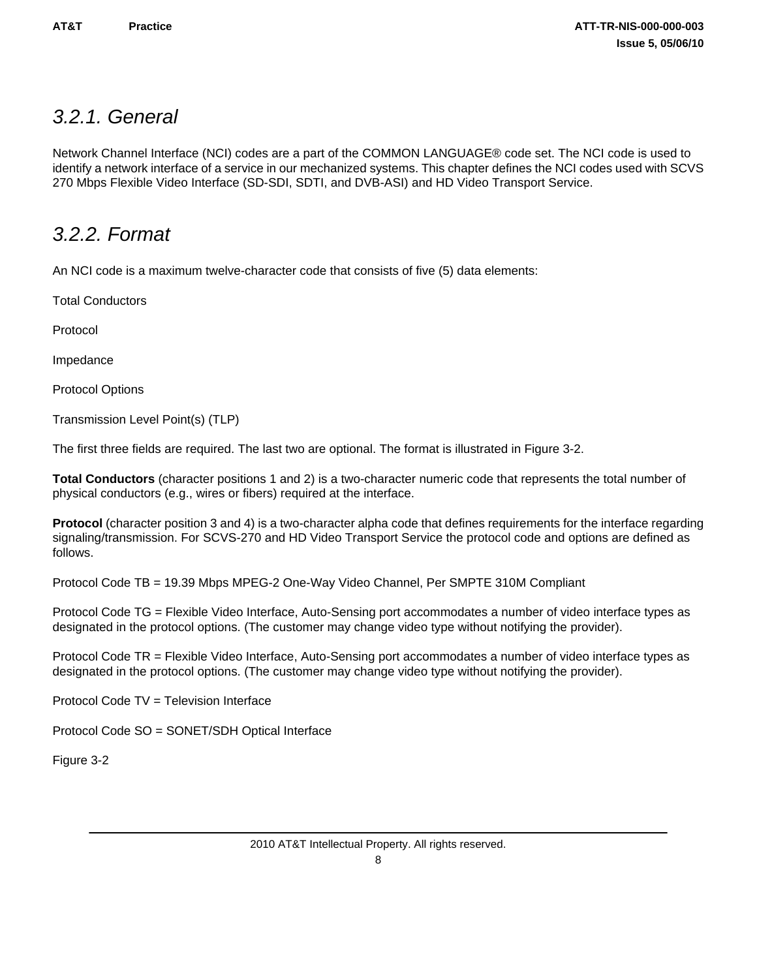### <span id="page-11-0"></span>*3.2.1. General*

Network Channel Interface (NCI) codes are a part of the COMMON LANGUAGE® code set. The NCI code is used to identify a network interface of a service in our mechanized systems. This chapter defines the NCI codes used with SCVS 270 Mbps Flexible Video Interface (SD-SDI, SDTI, and DVB-ASI) and HD Video Transport Service.

### *3.2.2. Format*

An NCI code is a maximum twelve-character code that consists of five (5) data elements:

Total Conductors

Protocol

Impedance

Protocol Options

Transmission Level Point(s) (TLP)

The first three fields are required. The last two are optional. The format is illustrated in Figure 3-2.

**Total Conductors** (character positions 1 and 2) is a two-character numeric code that represents the total number of physical conductors (e.g., wires or fibers) required at the interface.

**Protocol** (character position 3 and 4) is a two-character alpha code that defines requirements for the interface regarding signaling/transmission. For SCVS-270 and HD Video Transport Service the protocol code and options are defined as follows.

Protocol Code TB = 19.39 Mbps MPEG-2 One-Way Video Channel, Per SMPTE 310M Compliant

Protocol Code TG = Flexible Video Interface, Auto-Sensing port accommodates a number of video interface types as designated in the protocol options. (The customer may change video type without notifying the provider).

Protocol Code TR = Flexible Video Interface, Auto-Sensing port accommodates a number of video interface types as designated in the protocol options. (The customer may change video type without notifying the provider).

Protocol Code TV = Television Interface

Protocol Code SO = SONET/SDH Optical Interface

Figure 3-2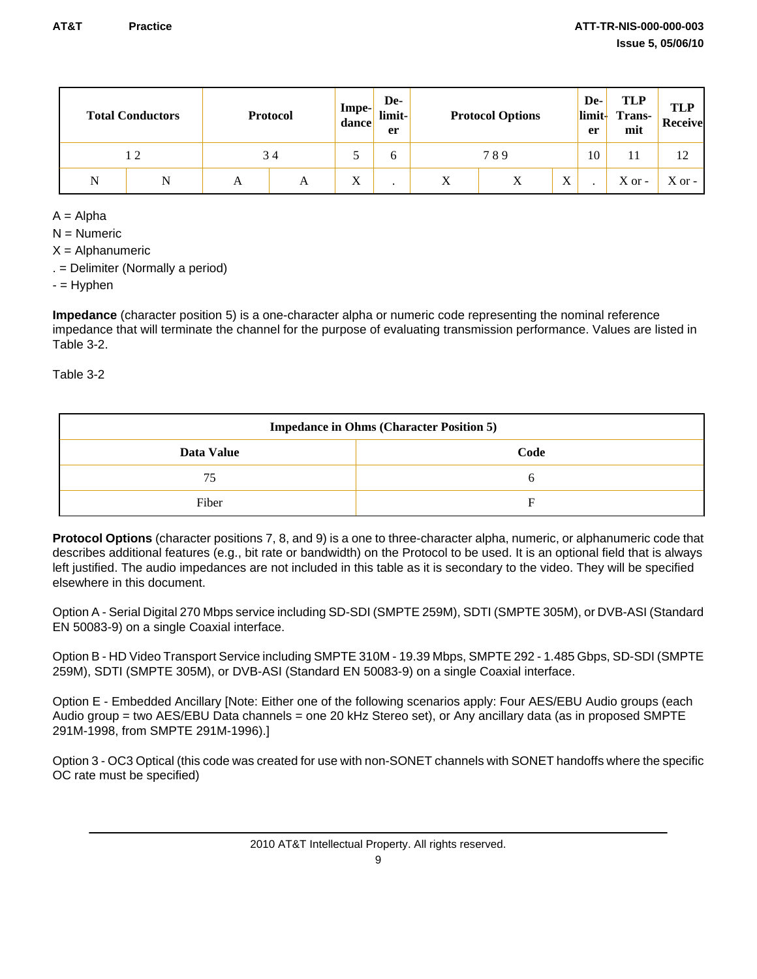|   | <b>Total Conductors</b> |   | <b>Protocol</b> | Impe-<br>dance | De-<br>limit-<br>er |                | <b>Protocol Options</b> |                           | De-<br>limit-<br>er | <b>TLP</b><br><b>Trans-</b><br>mit | <b>TLP</b><br><b>Receive</b> |
|---|-------------------------|---|-----------------|----------------|---------------------|----------------|-------------------------|---------------------------|---------------------|------------------------------------|------------------------------|
|   | 12                      |   | 34              | ◡              |                     | 789            |                         | 10                        |                     | 12                                 |                              |
| N | N                       | A | A               | X              |                     | v<br>$\Lambda$ | X                       | $\mathbf{v}$<br>$\Lambda$ |                     | $X$ or -                           | $X$ or -                     |

 $A =$  Alpha

 $N =$  Numeric

 $X =$  Alphanumeric

. = Delimiter (Normally a period)

 $-$  = Hyphen

**Impedance** (character position 5) is a one-character alpha or numeric code representing the nominal reference impedance that will terminate the channel for the purpose of evaluating transmission performance. Values are listed in Table 3-2.

Table 3-2

| <b>Impedance in Ohms (Character Position 5)</b> |  |  |  |  |
|-------------------------------------------------|--|--|--|--|
| Data Value<br>Code                              |  |  |  |  |
| 75                                              |  |  |  |  |
| Fiber                                           |  |  |  |  |

**Protocol Options** (character positions 7, 8, and 9) is a one to three-character alpha, numeric, or alphanumeric code that describes additional features (e.g., bit rate or bandwidth) on the Protocol to be used. It is an optional field that is always left justified. The audio impedances are not included in this table as it is secondary to the video. They will be specified elsewhere in this document.

Option A - Serial Digital 270 Mbps service including SD-SDI (SMPTE 259M), SDTI (SMPTE 305M), or DVB-ASI (Standard EN 50083-9) on a single Coaxial interface.

Option B - HD Video Transport Service including SMPTE 310M - 19.39 Mbps, SMPTE 292 - 1.485 Gbps, SD-SDI (SMPTE 259M), SDTI (SMPTE 305M), or DVB-ASI (Standard EN 50083-9) on a single Coaxial interface.

Option E - Embedded Ancillary [Note: Either one of the following scenarios apply: Four AES/EBU Audio groups (each Audio group = two AES/EBU Data channels = one 20 kHz Stereo set), or Any ancillary data (as in proposed SMPTE 291M-1998, from SMPTE 291M-1996).]

Option 3 - OC3 Optical (this code was created for use with non-SONET channels with SONET handoffs where the specific OC rate must be specified)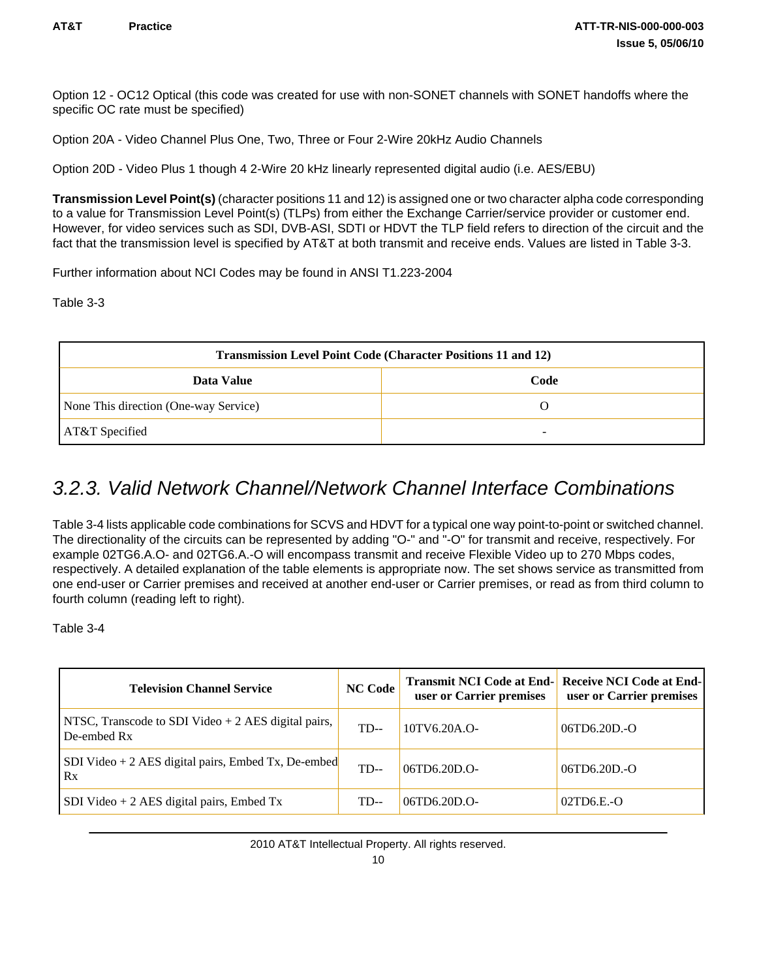<span id="page-13-0"></span>Option 12 - OC12 Optical (this code was created for use with non-SONET channels with SONET handoffs where the specific OC rate must be specified)

Option 20A - Video Channel Plus One, Two, Three or Four 2-Wire 20kHz Audio Channels

Option 20D - Video Plus 1 though 4 2-Wire 20 kHz linearly represented digital audio (i.e. AES/EBU)

**Transmission Level Point(s)** (character positions 11 and 12) is assigned one or two character alpha code corresponding to a value for Transmission Level Point(s) (TLPs) from either the Exchange Carrier/service provider or customer end. However, for video services such as SDI, DVB-ASI, SDTI or HDVT the TLP field refers to direction of the circuit and the fact that the transmission level is specified by AT&T at both transmit and receive ends. Values are listed in Table 3-3.

Further information about NCI Codes may be found in ANSI T1.223-2004

Table 3-3

| <b>Transmission Level Point Code (Character Positions 11 and 12)</b> |  |  |  |  |
|----------------------------------------------------------------------|--|--|--|--|
| Code<br>Data Value                                                   |  |  |  |  |
| None This direction (One-way Service)                                |  |  |  |  |
| AT&T Specified                                                       |  |  |  |  |

### *3.2.3. Valid Network Channel/Network Channel Interface Combinations*

Table 3-4 lists applicable code combinations for SCVS and HDVT for a typical one way point-to-point or switched channel. The directionality of the circuits can be represented by adding "O-" and "-O" for transmit and receive, respectively. For example 02TG6.A.O- and 02TG6.A.-O will encompass transmit and receive Flexible Video up to 270 Mbps codes, respectively. A detailed explanation of the table elements is appropriate now. The set shows service as transmitted from one end-user or Carrier premises and received at another end-user or Carrier premises, or read as from third column to fourth column (reading left to right).

Table 3-4

| <b>Television Channel Service</b>                                  | <b>NC Code</b> | Transmit NCI Code at End- Receive NCI Code at End-<br>user or Carrier premises | user or Carrier premises |
|--------------------------------------------------------------------|----------------|--------------------------------------------------------------------------------|--------------------------|
| NTSC, Transcode to SDI Video + 2 AES digital pairs,<br>De-embed Rx | $TD-$          | 10TV6.20A.O-                                                                   | $06TD6.20D.-O$           |
| SDI Video + 2 AES digital pairs, Embed Tx, De-embed<br>Rx          | $TD-$          | $06TD6.20D.0-$                                                                 | 06TD6.20D.-O             |
| SDI Video + 2 AES digital pairs, Embed Tx                          | TD--           | $06TD6.20D.0-$                                                                 | $02T0E0$ -O              |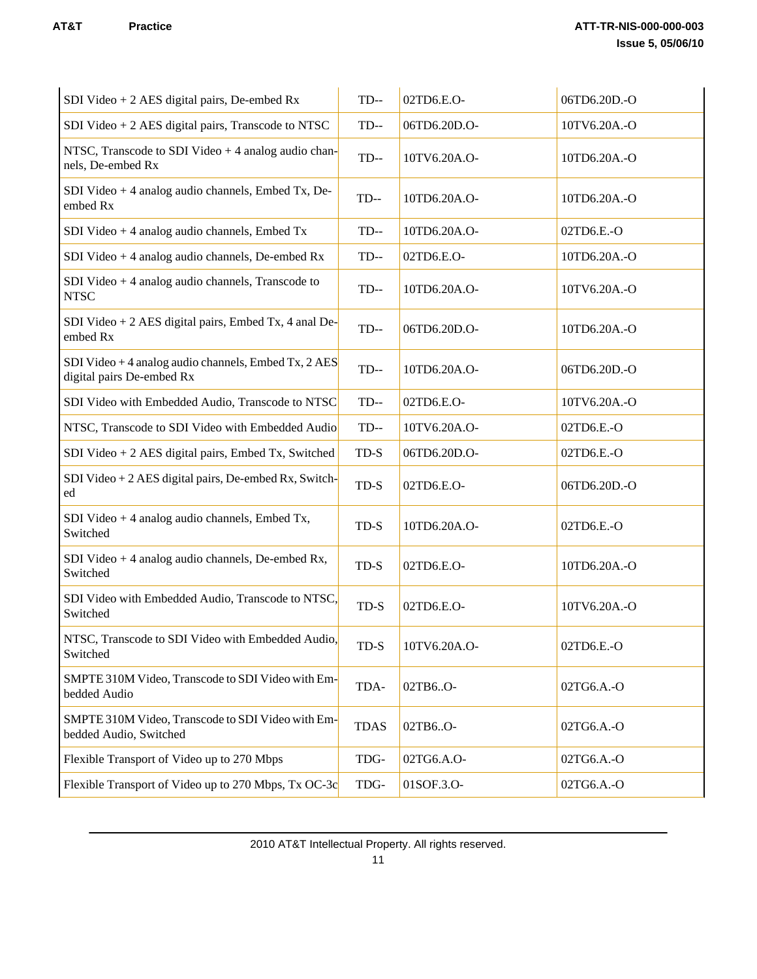| SDI Video + 2 AES digital pairs, De-embed Rx                                      | $TD-$       | 02TD6.E.O-   | 06TD6.20D.-O |
|-----------------------------------------------------------------------------------|-------------|--------------|--------------|
| SDI Video $+ 2$ AES digital pairs, Transcode to NTSC                              | $TD-$       | 06TD6.20D.O- | 10TV6.20A.-O |
| NTSC, Transcode to SDI Video $+4$ analog audio chan-<br>nels, De-embed Rx         | $TD-$       | 10TV6.20A.O- | 10TD6.20A.-O |
| SDI Video + 4 analog audio channels, Embed Tx, De-<br>embed Rx                    | $TD-$       | 10TD6.20A.O- | 10TD6.20A.-O |
| SDI Video + 4 analog audio channels, Embed Tx                                     | $TD-$       | 10TD6.20A.O- | 02TD6.E.-O   |
| SDI Video $+4$ analog audio channels, De-embed Rx                                 | $TD-$       | 02TD6.E.O-   | 10TD6.20A.-O |
| SDI Video $+4$ analog audio channels, Transcode to<br><b>NTSC</b>                 | $TD-$       | 10TD6.20A.O- | 10TV6.20A.-O |
| SDI Video + 2 AES digital pairs, Embed Tx, 4 and De-<br>embed Rx                  | $TD-$       | 06TD6.20D.O- | 10TD6.20A.-O |
| SDI Video + 4 analog audio channels, Embed Tx, 2 AES<br>digital pairs De-embed Rx | $TD-$       | 10TD6.20A.O- | 06TD6.20D.-O |
| SDI Video with Embedded Audio, Transcode to NTSC                                  | $TD-$       | 02TD6.E.O-   | 10TV6.20A.-O |
| NTSC, Transcode to SDI Video with Embedded Audio                                  | $TD-$       | 10TV6.20A.O- | 02TD6.E.-O   |
| SDI Video + 2 AES digital pairs, Embed Tx, Switched                               | TD-S        | 06TD6.20D.O- | 02TD6.E.-O   |
| SDI Video + $2$ AES digital pairs, De-embed Rx, Switch-<br>ed                     | TD-S        | 02TD6.E.O-   | 06TD6.20D.-O |
| SDI Video + 4 analog audio channels, Embed Tx,<br>Switched                        | TD-S        | 10TD6.20A.O- | 02TD6.E.-O   |
| SDI Video + 4 analog audio channels, De-embed Rx,<br>Switched                     | TD-S        | 02TD6.E.O-   | 10TD6.20A.-O |
| SDI Video with Embedded Audio, Transcode to NTSC,<br>Switched                     | TD-S        | 02TD6.E.O-   | 10TV6.20A.-O |
| NTSC. Transcode to SDI Video with Embedded Audio.<br>Switched                     | TD-S        | 10TV6.20A.O- | 02TD6.E.-O   |
| SMPTE 310M Video, Transcode to SDI Video with Em-<br>bedded Audio                 | TDA-        | 02TB6O-      | 02TG6.A.-O   |
| SMPTE 310M Video, Transcode to SDI Video with Em-<br>bedded Audio, Switched       | <b>TDAS</b> | 02TB6O-      | 02TG6.A.-O   |
| Flexible Transport of Video up to 270 Mbps                                        | TDG-        | 02TG6.A.O-   | 02TG6.A.-O   |
| Flexible Transport of Video up to 270 Mbps, Tx OC-3c                              | TDG-        | 01SOF.3.O-   | 02TG6.A.-O   |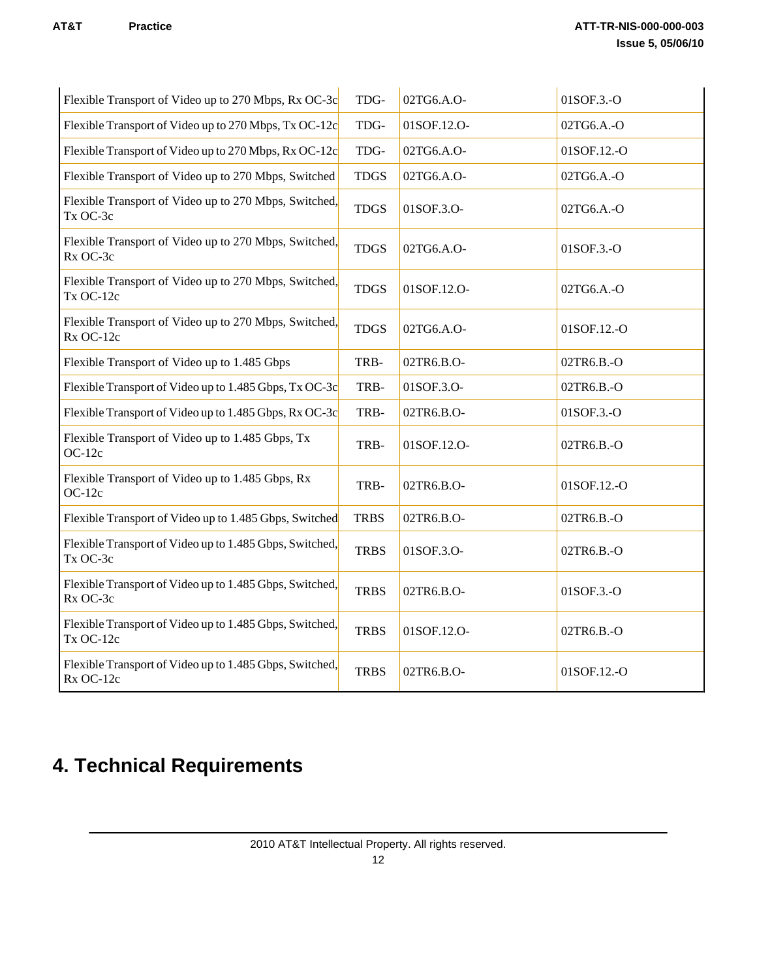<span id="page-15-0"></span>

| Flexible Transport of Video up to 270 Mbps, Rx OC-3c                 | TDG-        | 02TG6.A.O-  | 01SOF.3.-O  |
|----------------------------------------------------------------------|-------------|-------------|-------------|
| Flexible Transport of Video up to 270 Mbps, Tx OC-12c                | TDG-        | 01SOF.12.O- | 02TG6.A.-O  |
| Flexible Transport of Video up to 270 Mbps, Rx OC-12c                | TDG-        | 02TG6.A.O-  | 01SOF.12.-O |
| Flexible Transport of Video up to 270 Mbps, Switched                 | <b>TDGS</b> | 02TG6.A.O-  | 02TG6.A.-O  |
| Flexible Transport of Video up to 270 Mbps, Switched,<br>Tx OC-3c    | <b>TDGS</b> | 01SOF.3.O-  | 02TG6.A.-O  |
| Flexible Transport of Video up to 270 Mbps, Switched,<br>Rx OC-3c    | <b>TDGS</b> | 02TG6.A.O-  | 01SOF.3.-O  |
| Flexible Transport of Video up to 270 Mbps, Switched,<br>Tx OC-12c   | <b>TDGS</b> | 01SOF.12.O- | 02TG6.A.-O  |
| Flexible Transport of Video up to 270 Mbps, Switched,<br>Rx OC-12c   | <b>TDGS</b> | 02TG6.A.O-  | 01SOF.12.-O |
| Flexible Transport of Video up to 1.485 Gbps                         | TRB-        | 02TR6.B.O-  | 02TR6.B.-O  |
| Flexible Transport of Video up to 1.485 Gbps, Tx OC-3c               | TRB-        | 01SOF.3.O-  | 02TR6.B.-O  |
| Flexible Transport of Video up to 1.485 Gbps, Rx OC-3c               | TRB-        | 02TR6.B.O-  | 01SOF.3.-O  |
| Flexible Transport of Video up to 1.485 Gbps, Tx<br>$OC-12c$         | TRB-        | 01SOF.12.O- | 02TR6.B.-O  |
| Flexible Transport of Video up to 1.485 Gbps, Rx<br>$OC-12c$         | TRB-        | 02TR6.B.O-  | 01SOF.12.-O |
| Flexible Transport of Video up to 1.485 Gbps, Switched               | <b>TRBS</b> | 02TR6.B.O-  | 02TR6.B.-O  |
| Flexible Transport of Video up to 1.485 Gbps, Switched,<br>Tx OC-3c  | <b>TRBS</b> | 01SOF.3.O-  | 02TR6.B.-O  |
| Flexible Transport of Video up to 1.485 Gbps, Switched,<br>Rx OC-3c  | <b>TRBS</b> | 02TR6.B.O-  | 01SOF.3.-O  |
| Flexible Transport of Video up to 1.485 Gbps, Switched,<br>Tx OC-12c | <b>TRBS</b> | 01SOF.12.O- | 02TR6.B.-O  |
| Flexible Transport of Video up to 1.485 Gbps, Switched,<br>Rx OC-12c | <b>TRBS</b> | 02TR6.B.O-  | 01SOF.12.-O |

# **4. Technical Requirements**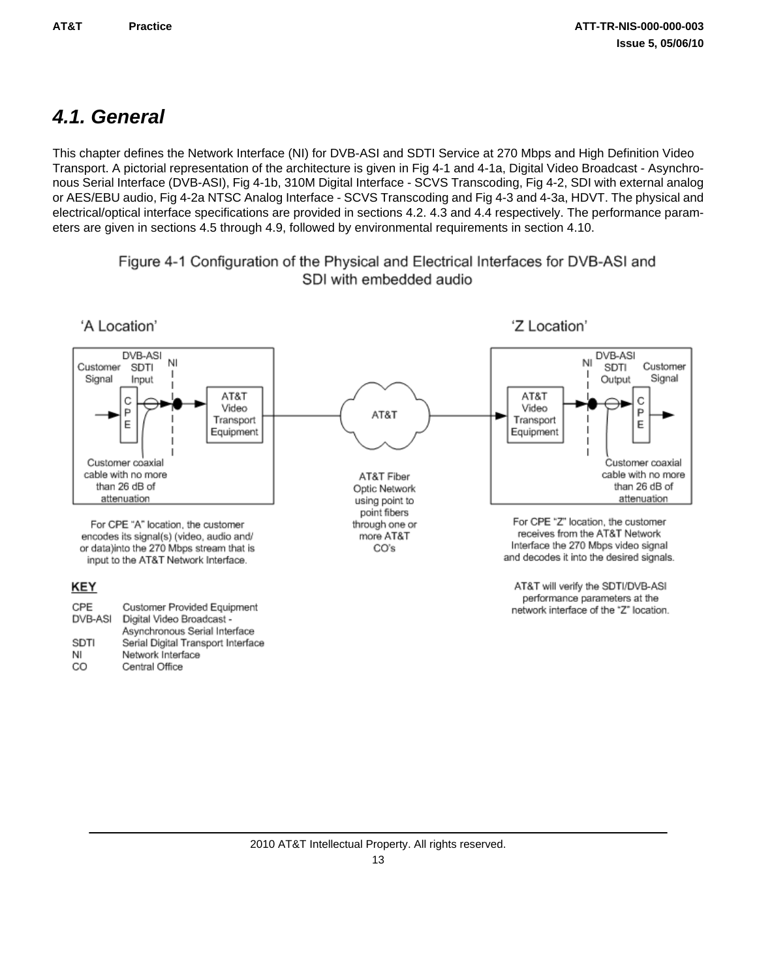## <span id="page-16-0"></span>*4.1. General*

This chapter defines the Network Interface (NI) for DVB-ASI and SDTI Service at 270 Mbps and High Definition Video Transport. A pictorial representation of the architecture is given in Fig 4-1 and 4-1a, Digital Video Broadcast - Asynchronous Serial Interface (DVB-ASI), Fig 4-1b, 310M Digital Interface - SCVS Transcoding, Fig 4-2, SDI with external analog or AES/EBU audio, Fig 4-2a NTSC Analog Interface - SCVS Transcoding and Fig 4-3 and 4-3a, HDVT. The physical and electrical/optical interface specifications are provided in sections 4.2. 4.3 and 4.4 respectively. The performance parameters are given in sections 4.5 through 4.9, followed by environmental requirements in section 4.10.

> Figure 4-1 Configuration of the Physical and Electrical Interfaces for DVB-ASI and SDI with embedded audio

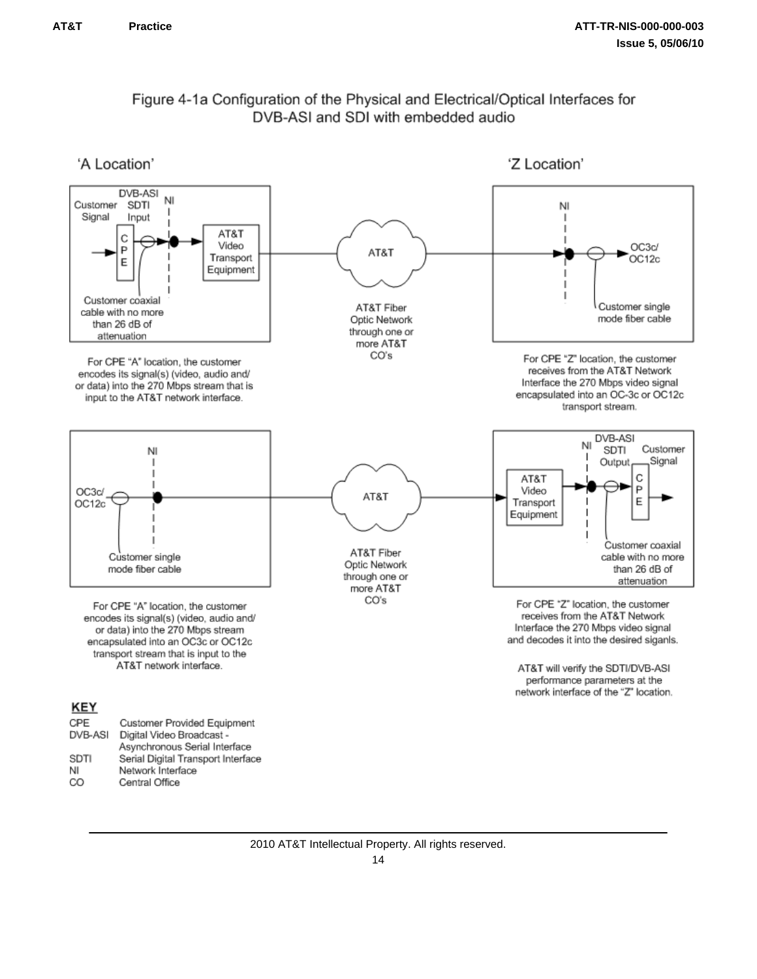CO

Central Office



### Figure 4-1a Configuration of the Physical and Electrical/Optical Interfaces for DVB-ASI and SDI with embedded audio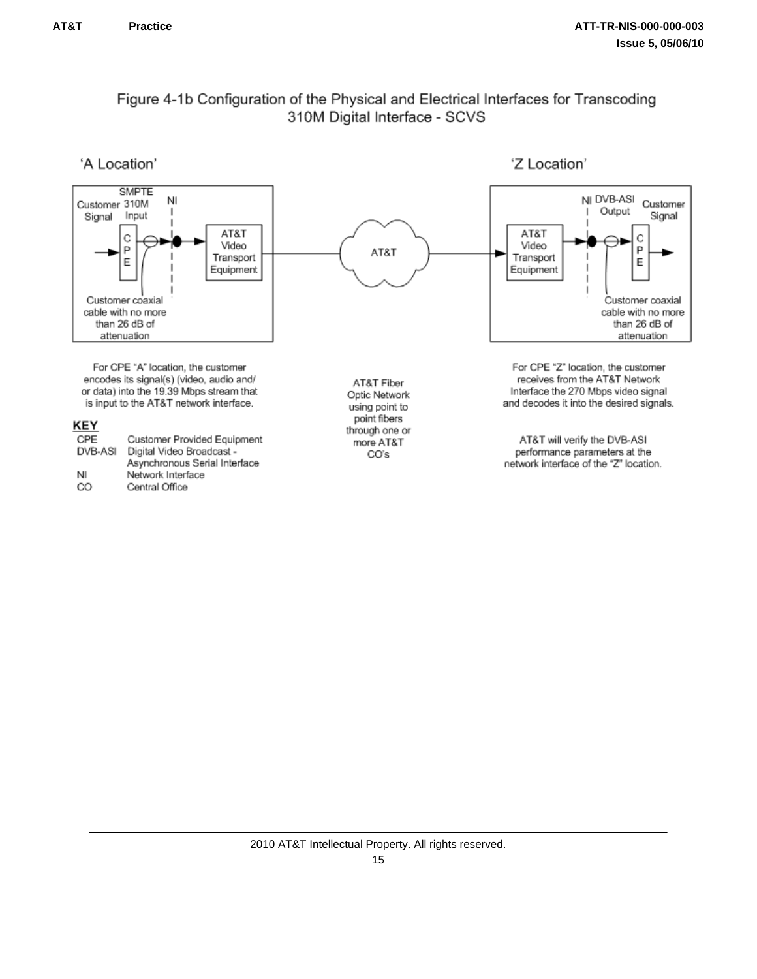### Figure 4-1b Configuration of the Physical and Electrical Interfaces for Transcoding 310M Digital Interface - SCVS

'A Location'

'Z Location'

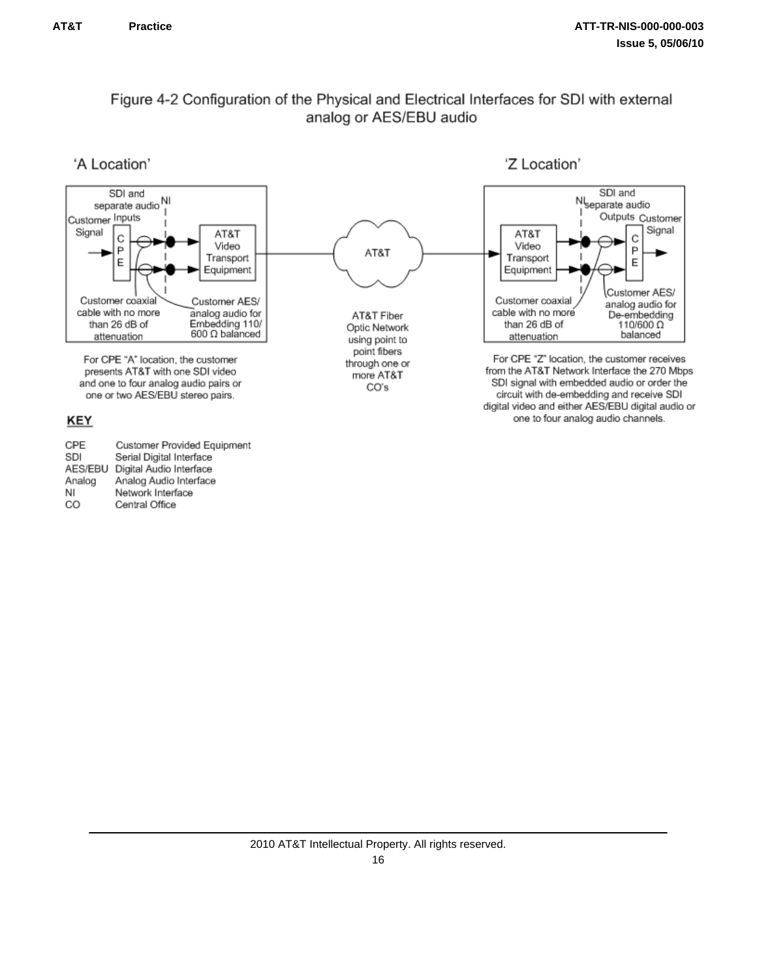### Figure 4-2 Configuration of the Physical and Electrical Interfaces for SDI with external analog or AES/EBU audio

'A Location'

'Z Location'



CPE Customer Provided Equipment SDI Serial Digital Interface AES/EBU Digital Audio Interface Analog Audio Interface Analog NI Network Interface CO Central Office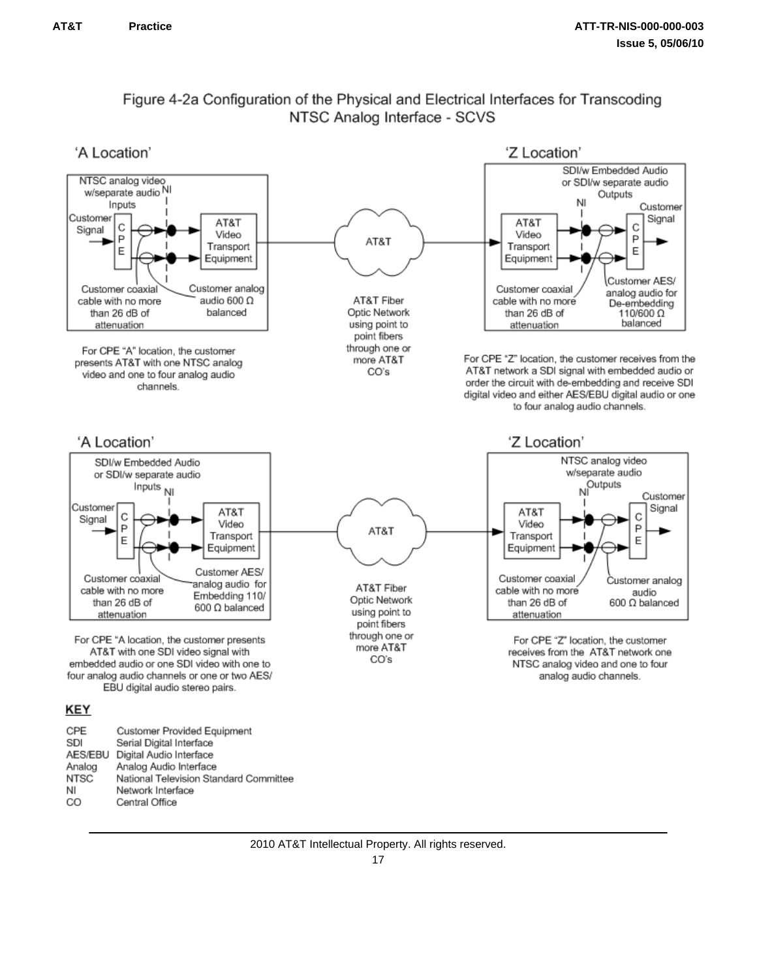### Figure 4-2a Configuration of the Physical and Electrical Interfaces for Transcoding NTSC Analog Interface - SCVS

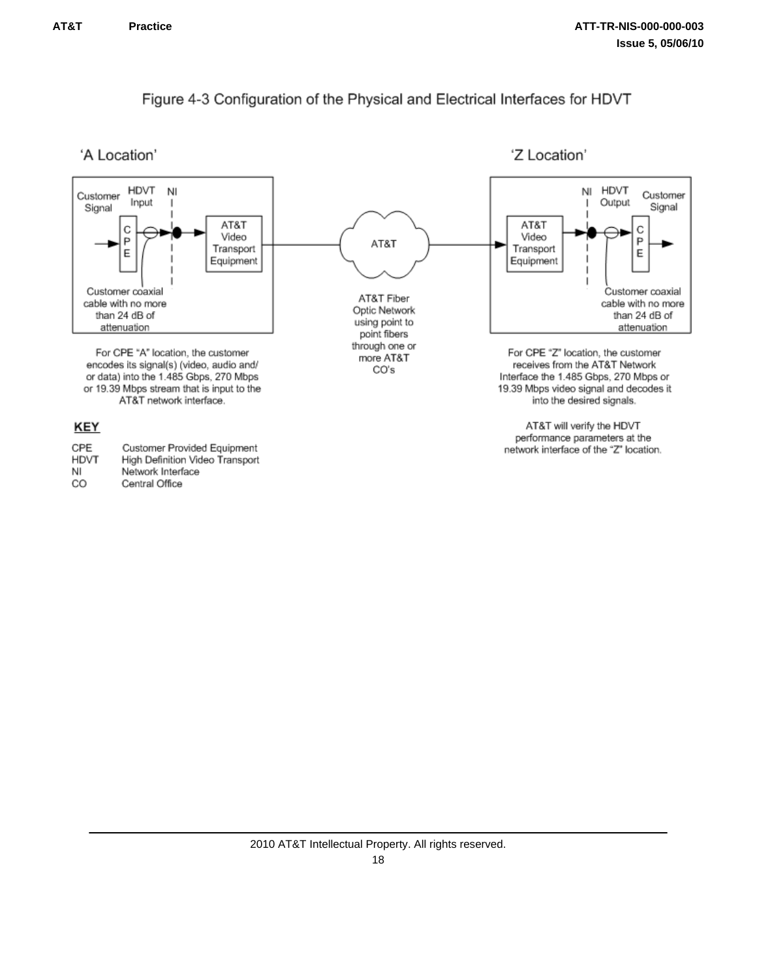### Figure 4-3 Configuration of the Physical and Electrical Interfaces for HDVT



'Z Location'

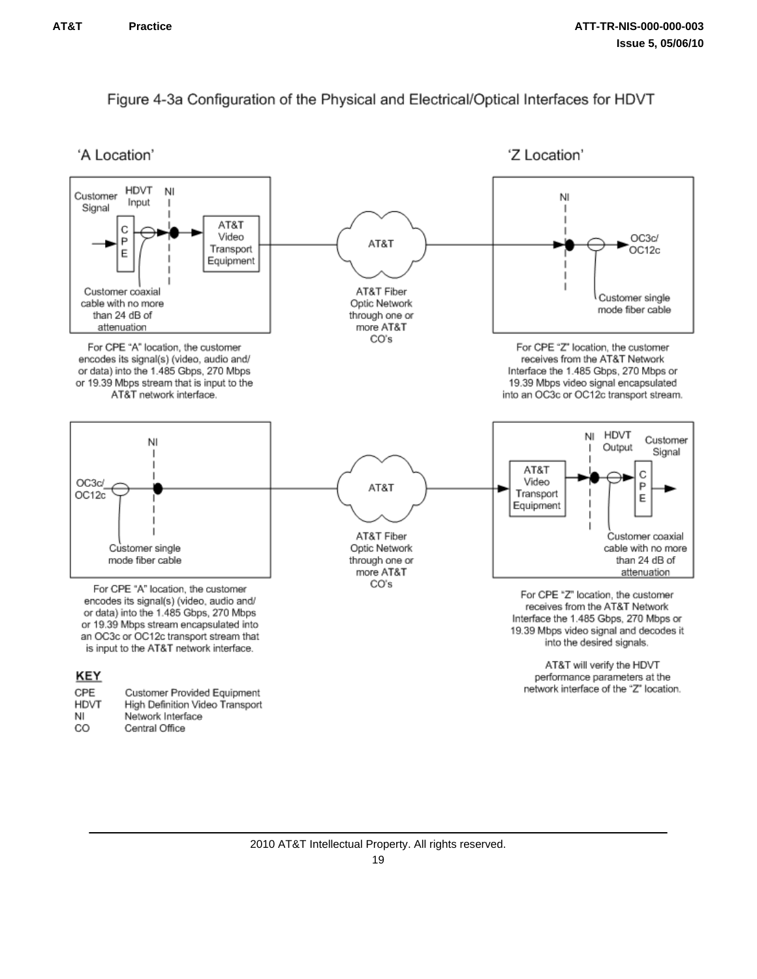### Figure 4-3a Configuration of the Physical and Electrical/Optical Interfaces for HDVT

'A Location'

'Z Location'

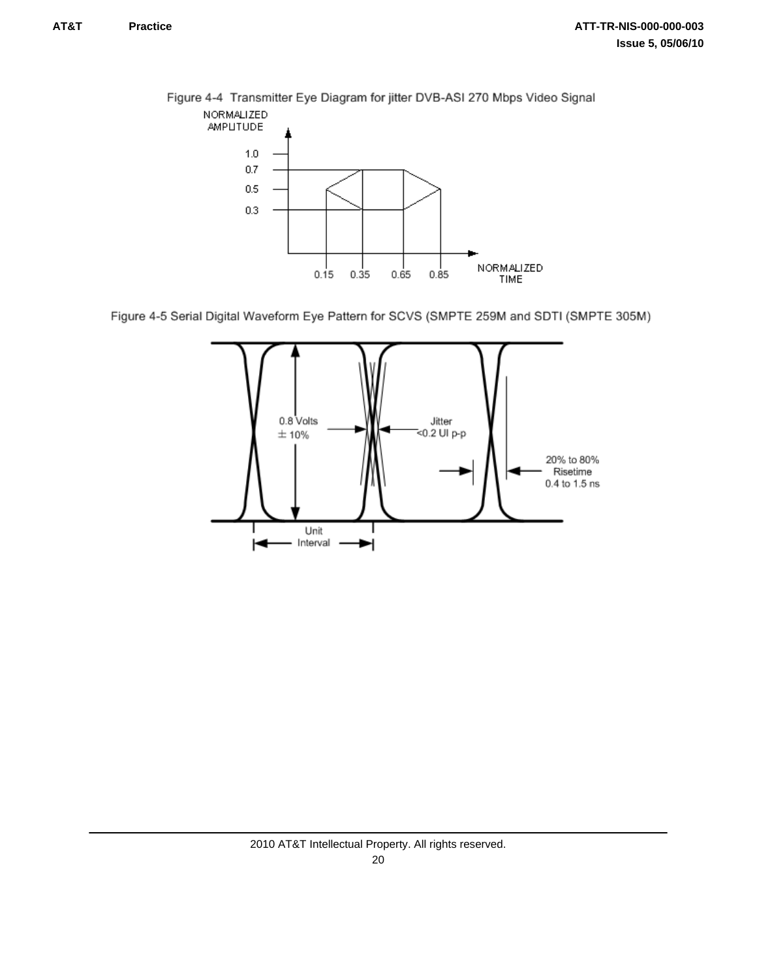

Figure 4-4 Transmitter Eye Diagram for jitter DVB-ASI 270 Mbps Video Signal



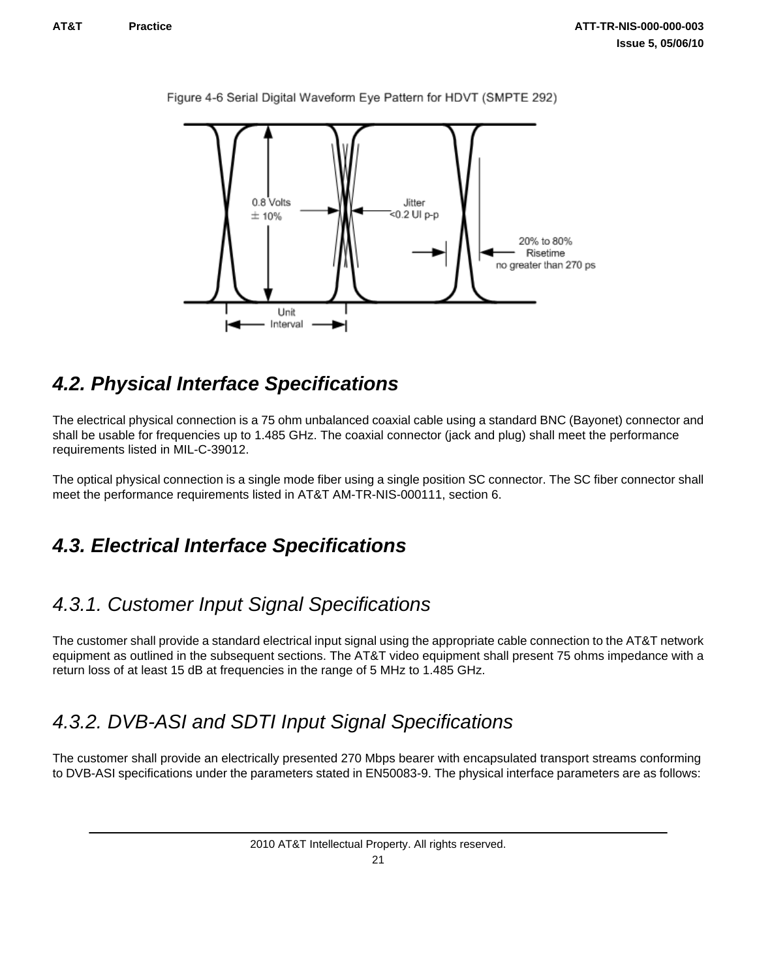

<span id="page-24-0"></span>Figure 4-6 Serial Digital Waveform Eye Pattern for HDVT (SMPTE 292)

### *4.2. Physical Interface Specifications*

The electrical physical connection is a 75 ohm unbalanced coaxial cable using a standard BNC (Bayonet) connector and shall be usable for frequencies up to 1.485 GHz. The coaxial connector (jack and plug) shall meet the performance requirements listed in MIL-C-39012.

The optical physical connection is a single mode fiber using a single position SC connector. The SC fiber connector shall meet the performance requirements listed in AT&T AM-TR-NIS-000111, section 6.

### *4.3. Electrical Interface Specifications*

### *4.3.1. Customer Input Signal Specifications*

The customer shall provide a standard electrical input signal using the appropriate cable connection to the AT&T network equipment as outlined in the subsequent sections. The AT&T video equipment shall present 75 ohms impedance with a return loss of at least 15 dB at frequencies in the range of 5 MHz to 1.485 GHz.

### *4.3.2. DVB-ASI and SDTI Input Signal Specifications*

The customer shall provide an electrically presented 270 Mbps bearer with encapsulated transport streams conforming to DVB-ASI specifications under the parameters stated in EN50083-9. The physical interface parameters are as follows: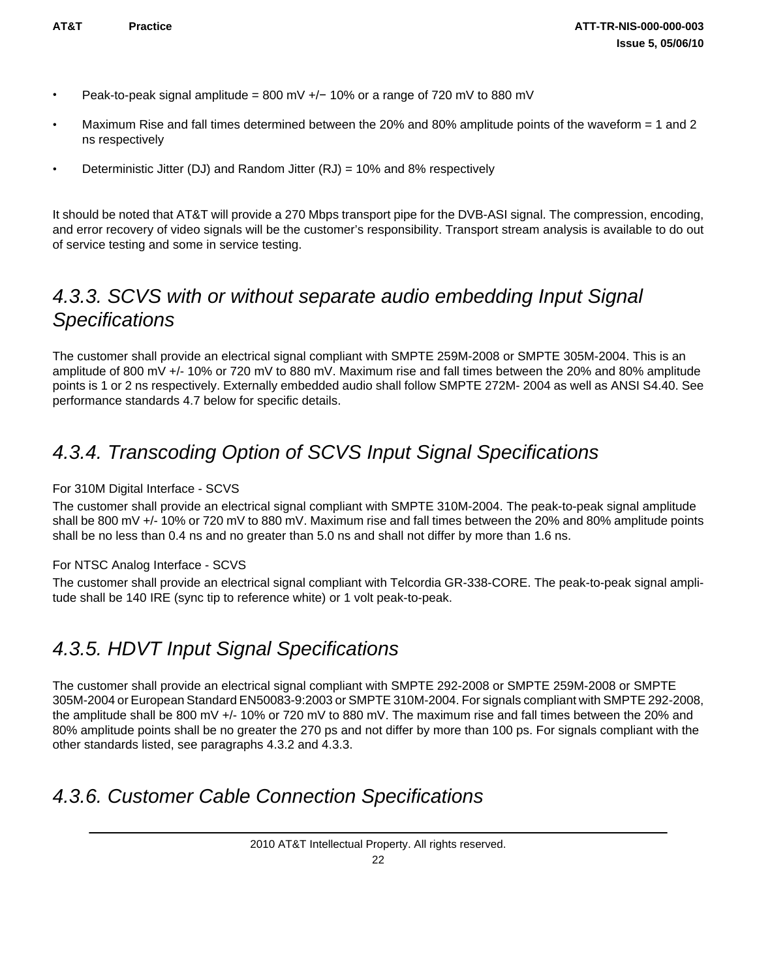- <span id="page-25-0"></span>• Peak-to-peak signal amplitude = 800 mV +/− 10% or a range of 720 mV to 880 mV
- Maximum Rise and fall times determined between the 20% and 80% amplitude points of the waveform = 1 and 2 ns respectively
- Deterministic Jitter (DJ) and Random Jitter  $(RJ) = 10\%$  and 8% respectively

It should be noted that AT&T will provide a 270 Mbps transport pipe for the DVB-ASI signal. The compression, encoding, and error recovery of video signals will be the customer's responsibility. Transport stream analysis is available to do out of service testing and some in service testing.

### *4.3.3. SCVS with or without separate audio embedding Input Signal Specifications*

The customer shall provide an electrical signal compliant with SMPTE 259M-2008 or SMPTE 305M-2004. This is an amplitude of 800 mV +/- 10% or 720 mV to 880 mV. Maximum rise and fall times between the 20% and 80% amplitude points is 1 or 2 ns respectively. Externally embedded audio shall follow SMPTE 272M- 2004 as well as ANSI S4.40. See performance standards 4.7 below for specific details.

## *4.3.4. Transcoding Option of SCVS Input Signal Specifications*

#### For 310M Digital Interface - SCVS

The customer shall provide an electrical signal compliant with SMPTE 310M-2004. The peak-to-peak signal amplitude shall be 800 mV +/- 10% or 720 mV to 880 mV. Maximum rise and fall times between the 20% and 80% amplitude points shall be no less than 0.4 ns and no greater than 5.0 ns and shall not differ by more than 1.6 ns.

#### For NTSC Analog Interface - SCVS

The customer shall provide an electrical signal compliant with Telcordia GR-338-CORE. The peak-to-peak signal amplitude shall be 140 IRE (sync tip to reference white) or 1 volt peak-to-peak.

### *4.3.5. HDVT Input Signal Specifications*

The customer shall provide an electrical signal compliant with SMPTE 292-2008 or SMPTE 259M-2008 or SMPTE 305M-2004 or European Standard EN50083-9:2003 or SMPTE 310M-2004. For signals compliant with SMPTE 292-2008, the amplitude shall be 800 mV +/- 10% or 720 mV to 880 mV. The maximum rise and fall times between the 20% and 80% amplitude points shall be no greater the 270 ps and not differ by more than 100 ps. For signals compliant with the other standards listed, see paragraphs 4.3.2 and 4.3.3.

### *4.3.6. Customer Cable Connection Specifications*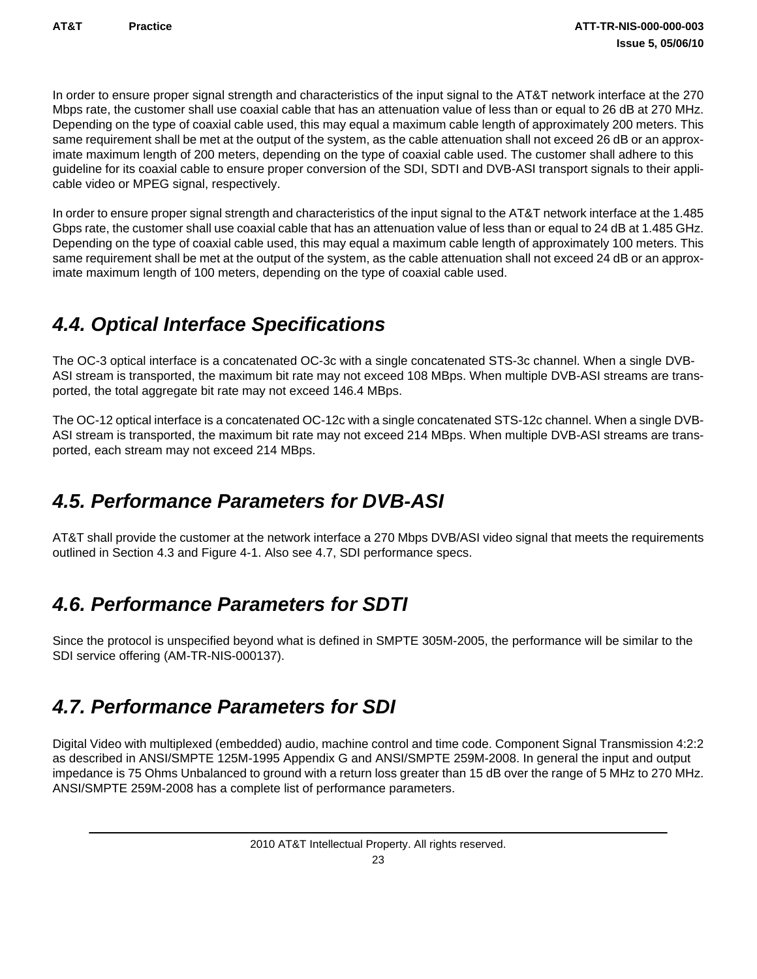<span id="page-26-0"></span>In order to ensure proper signal strength and characteristics of the input signal to the AT&T network interface at the 270 Mbps rate, the customer shall use coaxial cable that has an attenuation value of less than or equal to 26 dB at 270 MHz. Depending on the type of coaxial cable used, this may equal a maximum cable length of approximately 200 meters. This same requirement shall be met at the output of the system, as the cable attenuation shall not exceed 26 dB or an approximate maximum length of 200 meters, depending on the type of coaxial cable used. The customer shall adhere to this guideline for its coaxial cable to ensure proper conversion of the SDI, SDTI and DVB-ASI transport signals to their applicable video or MPEG signal, respectively.

In order to ensure proper signal strength and characteristics of the input signal to the AT&T network interface at the 1.485 Gbps rate, the customer shall use coaxial cable that has an attenuation value of less than or equal to 24 dB at 1.485 GHz. Depending on the type of coaxial cable used, this may equal a maximum cable length of approximately 100 meters. This same requirement shall be met at the output of the system, as the cable attenuation shall not exceed 24 dB or an approximate maximum length of 100 meters, depending on the type of coaxial cable used.

## *4.4. Optical Interface Specifications*

The OC-3 optical interface is a concatenated OC-3c with a single concatenated STS-3c channel. When a single DVB-ASI stream is transported, the maximum bit rate may not exceed 108 MBps. When multiple DVB-ASI streams are transported, the total aggregate bit rate may not exceed 146.4 MBps.

The OC-12 optical interface is a concatenated OC-12c with a single concatenated STS-12c channel. When a single DVB-ASI stream is transported, the maximum bit rate may not exceed 214 MBps. When multiple DVB-ASI streams are transported, each stream may not exceed 214 MBps.

## *4.5. Performance Parameters for DVB-ASI*

AT&T shall provide the customer at the network interface a 270 Mbps DVB/ASI video signal that meets the requirements outlined in Section 4.3 and Figure 4-1. Also see 4.7, SDI performance specs.

## *4.6. Performance Parameters for SDTI*

Since the protocol is unspecified beyond what is defined in SMPTE 305M-2005, the performance will be similar to the SDI service offering (AM-TR-NIS-000137).

## *4.7. Performance Parameters for SDI*

Digital Video with multiplexed (embedded) audio, machine control and time code. Component Signal Transmission 4:2:2 as described in ANSI/SMPTE 125M-1995 Appendix G and ANSI/SMPTE 259M-2008. In general the input and output impedance is 75 Ohms Unbalanced to ground with a return loss greater than 15 dB over the range of 5 MHz to 270 MHz. ANSI/SMPTE 259M-2008 has a complete list of performance parameters.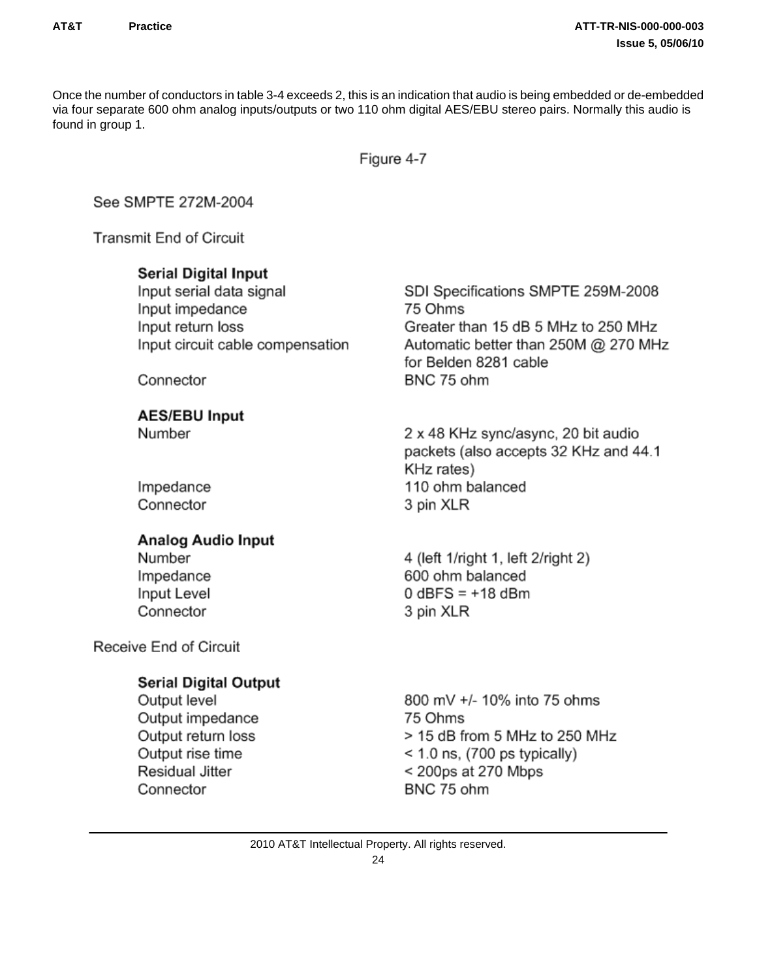Once the number of conductors in table 3-4 exceeds 2, this is an indication that audio is being embedded or de-embedded via four separate 600 ohm analog inputs/outputs or two 110 ohm digital AES/EBU stereo pairs. Normally this audio is found in group 1.

Figure 4-7

See SMPTE 272M-2004

**Transmit End of Circuit** 

### **Serial Digital Input**

Input serial data signal Input impedance Input return loss Input circuit cable compensation

Connector

**AES/EBU Input** 

Number

Impedance Connector

### **Analog Audio Input**

Number Impedance Input Level Connector

Receive End of Circuit

### **Serial Digital Output**

Output level Output impedance Output return loss Output rise time Residual Jitter Connector

SDI Specifications SMPTE 259M-2008 75 Ohms Greater than 15 dB 5 MHz to 250 MHz Automatic better than 250M @ 270 MHz for Belden 8281 cable BNC 75 ohm

2 x 48 KHz sync/async, 20 bit audio packets (also accepts 32 KHz and 44.1 KHz rates) 110 ohm balanced 3 pin XLR

4 (left 1/right 1, left 2/right 2) 600 ohm balanced  $0$  dBFS =  $+18$  dBm 3 pin XLR

800 mV +/- 10% into 75 ohms 75 Ohms > 15 dB from 5 MHz to 250 MHz  $<$  1.0 ns, (700 ps typically) < 200ps at 270 Mbps BNC 75 ohm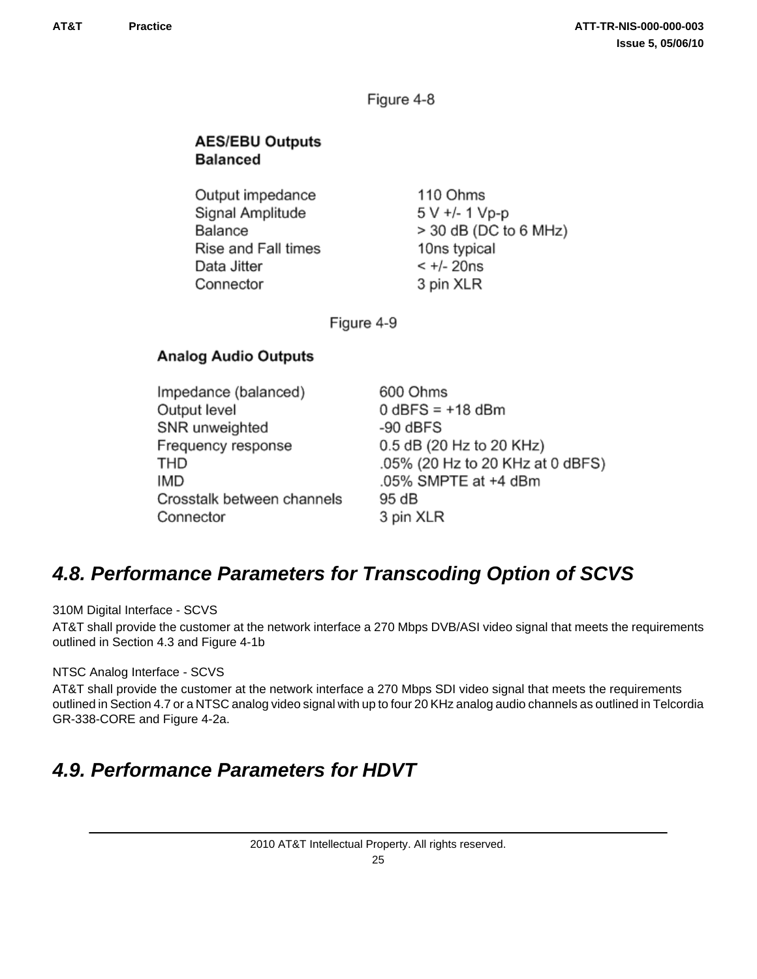Figure 4-8

### <span id="page-28-0"></span>**AES/EBU Outputs Balanced**

Output impedance Signal Amplitude Balance Rise and Fall times Data Jitter Connector

110 Ohms 5 V +/- 1 Vp-p > 30 dB (DC to 6 MHz) 10ns typical  $< +/- 20$ ns 3 pin XLR

Figure 4-9

### **Analog Audio Outputs**

Impedance (balanced) Output level SNR unweighted Frequency response **THD IMD** Crosstalk between channels Connector

600 Ohms  $0$  dBFS =  $+18$  dBm  $-90$  dBFS 0.5 dB (20 Hz to 20 KHz) .05% (20 Hz to 20 KHz at 0 dBFS) .05% SMPTE at +4 dBm 95 dB 3 pin XLR

### *4.8. Performance Parameters for Transcoding Option of SCVS*

310M Digital Interface - SCVS

AT&T shall provide the customer at the network interface a 270 Mbps DVB/ASI video signal that meets the requirements outlined in Section 4.3 and Figure 4-1b

NTSC Analog Interface - SCVS

AT&T shall provide the customer at the network interface a 270 Mbps SDI video signal that meets the requirements outlined in Section 4.7 or a NTSC analog video signal with up to four 20 KHz analog audio channels as outlined in Telcordia GR-338-CORE and Figure 4-2a.

## *4.9. Performance Parameters for HDVT*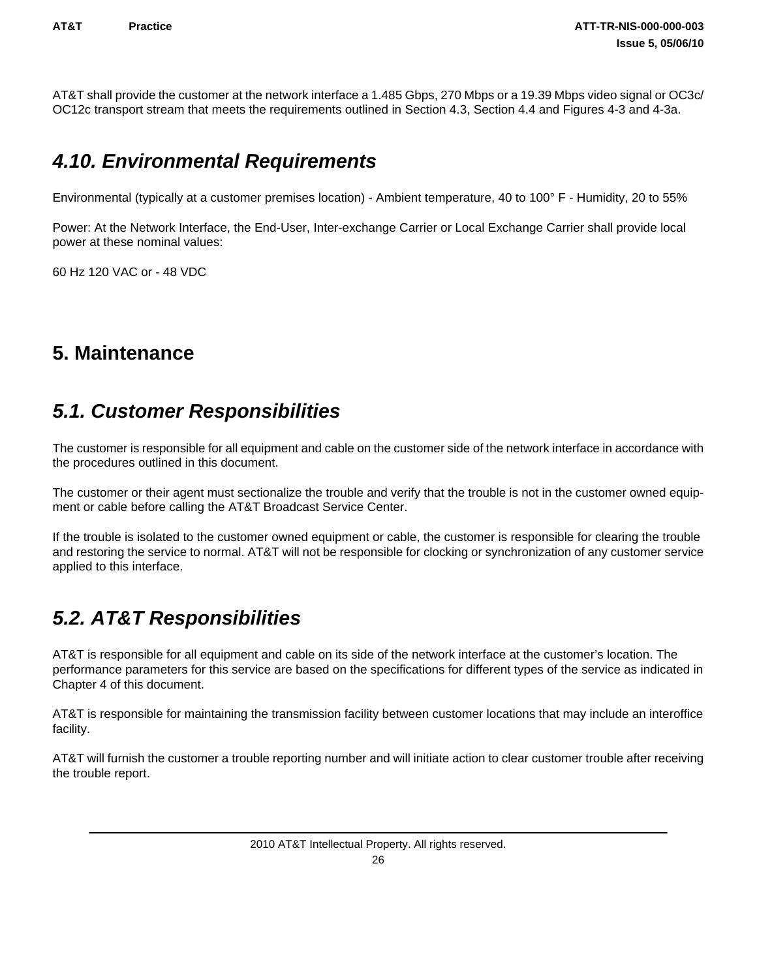<span id="page-29-0"></span>AT&T shall provide the customer at the network interface a 1.485 Gbps, 270 Mbps or a 19.39 Mbps video signal or OC3c/ OC12c transport stream that meets the requirements outlined in Section 4.3, Section 4.4 and Figures 4-3 and 4-3a.

### *4.10. Environmental Requirements*

Environmental (typically at a customer premises location) - Ambient temperature, 40 to 100° F - Humidity, 20 to 55%

Power: At the Network Interface, the End-User, Inter-exchange Carrier or Local Exchange Carrier shall provide local power at these nominal values:

60 Hz 120 VAC or - 48 VDC

### **5. Maintenance**

### *5.1. Customer Responsibilities*

The customer is responsible for all equipment and cable on the customer side of the network interface in accordance with the procedures outlined in this document.

The customer or their agent must sectionalize the trouble and verify that the trouble is not in the customer owned equipment or cable before calling the AT&T Broadcast Service Center.

If the trouble is isolated to the customer owned equipment or cable, the customer is responsible for clearing the trouble and restoring the service to normal. AT&T will not be responsible for clocking or synchronization of any customer service applied to this interface.

## *5.2. AT&T Responsibilities*

AT&T is responsible for all equipment and cable on its side of the network interface at the customer's location. The performance parameters for this service are based on the specifications for different types of the service as indicated in Chapter 4 of this document.

AT&T is responsible for maintaining the transmission facility between customer locations that may include an interoffice facility.

AT&T will furnish the customer a trouble reporting number and will initiate action to clear customer trouble after receiving the trouble report.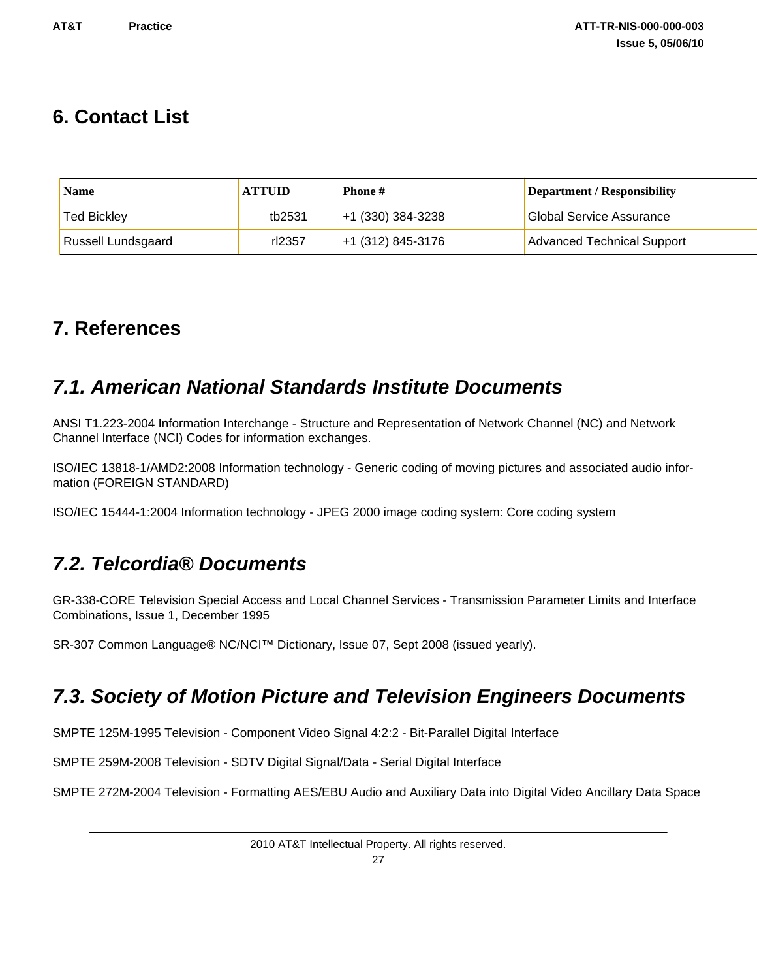### <span id="page-30-0"></span>**6. Contact List**

| <b>Name</b>               | <b>ATTUID</b> | <b>Phone</b> #      | <b>Department / Responsibility</b> |
|---------------------------|---------------|---------------------|------------------------------------|
| <b>Ted Bickley</b>        | tb2531        | $+1$ (330) 384-3238 | <b>Global Service Assurance</b>    |
| <b>Russell Lundsgaard</b> | rl2357        | $+1$ (312) 845-3176 | <b>Advanced Technical Support</b>  |

## **7. References**

### *7.1. American National Standards Institute Documents*

ANSI T1.223-2004 Information Interchange - Structure and Representation of Network Channel (NC) and Network Channel Interface (NCI) Codes for information exchanges.

ISO/IEC 13818-1/AMD2:2008 Information technology - Generic coding of moving pictures and associated audio information (FOREIGN STANDARD)

ISO/IEC 15444-1:2004 Information technology - JPEG 2000 image coding system: Core coding system

### *7.2. Telcordia® Documents*

GR-338-CORE Television Special Access and Local Channel Services - Transmission Parameter Limits and Interface Combinations, Issue 1, December 1995

SR-307 Common Language® NC/NCI™ Dictionary, Issue 07, Sept 2008 (issued yearly).

### *7.3. Society of Motion Picture and Television Engineers Documents*

SMPTE 125M-1995 Television - Component Video Signal 4:2:2 - Bit-Parallel Digital Interface

SMPTE 259M-2008 Television - SDTV Digital Signal/Data - Serial Digital Interface

SMPTE 272M-2004 Television - Formatting AES/EBU Audio and Auxiliary Data into Digital Video Ancillary Data Space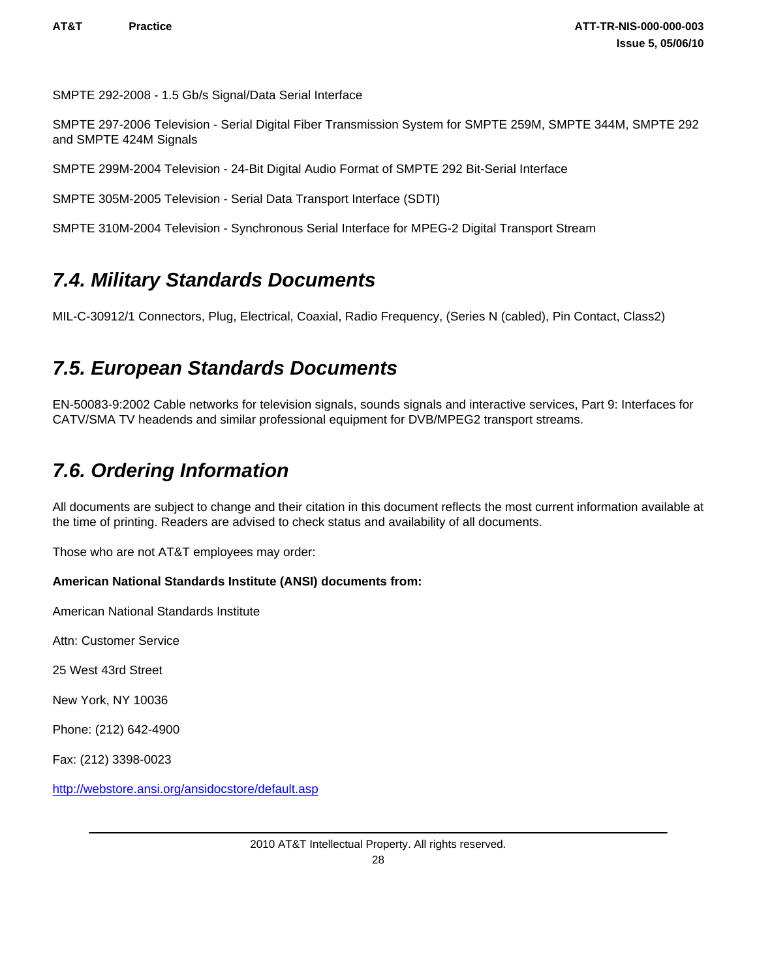<span id="page-31-0"></span>SMPTE 292-2008 - 1.5 Gb/s Signal/Data Serial Interface

SMPTE 297-2006 Television - Serial Digital Fiber Transmission System for SMPTE 259M, SMPTE 344M, SMPTE 292 and SMPTE 424M Signals

SMPTE 299M-2004 Television - 24-Bit Digital Audio Format of SMPTE 292 Bit-Serial Interface

SMPTE 305M-2005 Television - Serial Data Transport Interface (SDTI)

SMPTE 310M-2004 Television - Synchronous Serial Interface for MPEG-2 Digital Transport Stream

### *7.4. Military Standards Documents*

MIL-C-30912/1 Connectors, Plug, Electrical, Coaxial, Radio Frequency, (Series N (cabled), Pin Contact, Class2)

### *7.5. European Standards Documents*

EN-50083-9:2002 Cable networks for television signals, sounds signals and interactive services, Part 9: Interfaces for CATV/SMA TV headends and similar professional equipment for DVB/MPEG2 transport streams.

## *7.6. Ordering Information*

All documents are subject to change and their citation in this document reflects the most current information available at the time of printing. Readers are advised to check status and availability of all documents.

Those who are not AT&T employees may order:

#### **American National Standards Institute (ANSI) documents from:**

American National Standards Institute

Attn: Customer Service

25 West 43rd Street

New York, NY 10036

Phone: (212) 642-4900

Fax: (212) 3398-0023

<http://webstore.ansi.org/ansidocstore/default.asp>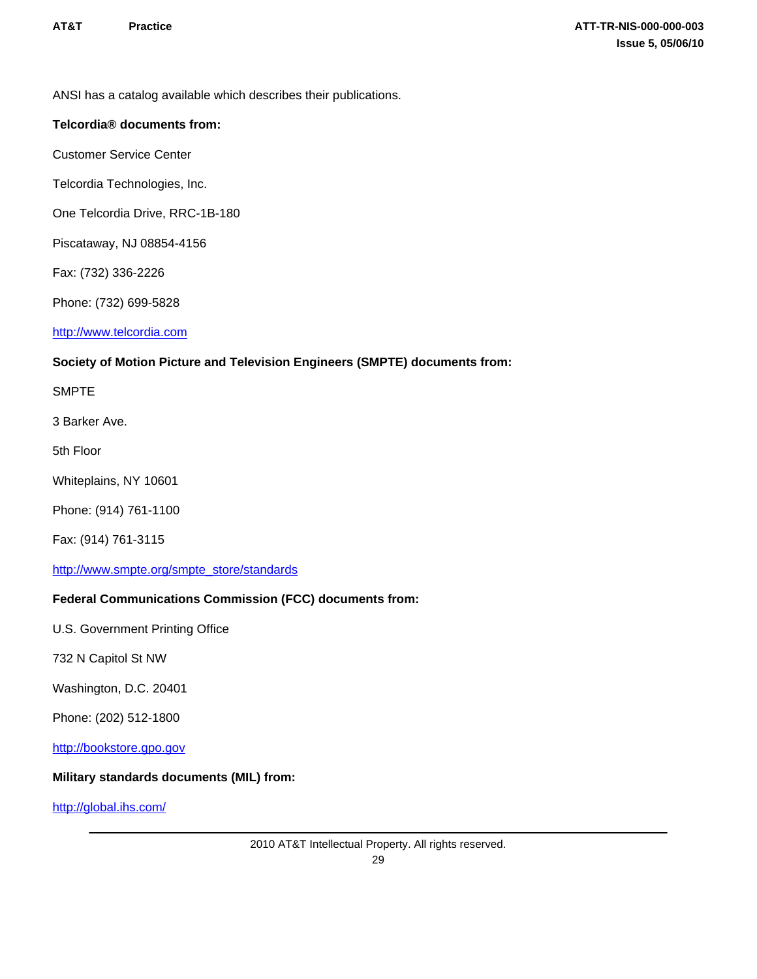ANSI has a catalog available which describes their publications.

#### **Telcordia® documents from:**

Customer Service Center

Telcordia Technologies, Inc.

One Telcordia Drive, RRC-1B-180

Piscataway, NJ 08854-4156

Fax: (732) 336-2226

Phone: (732) 699-5828

<http://www.telcordia.com>

#### **Society of Motion Picture and Television Engineers (SMPTE) documents from:**

SMPTE

3 Barker Ave.

5th Floor

Whiteplains, NY 10601

Phone: (914) 761-1100

Fax: (914) 761-3115

[http://www.smpte.org/smpte\\_store/standards](http://www.smpte.org/smpte_store/standards) 

#### **Federal Communications Commission (FCC) documents from:**

U.S. Government Printing Office

732 N Capitol St NW

Washington, D.C. 20401

Phone: (202) 512-1800

<http://bookstore.gpo.gov>

#### **Military standards documents (MIL) from:**

<http://global.ihs.com/>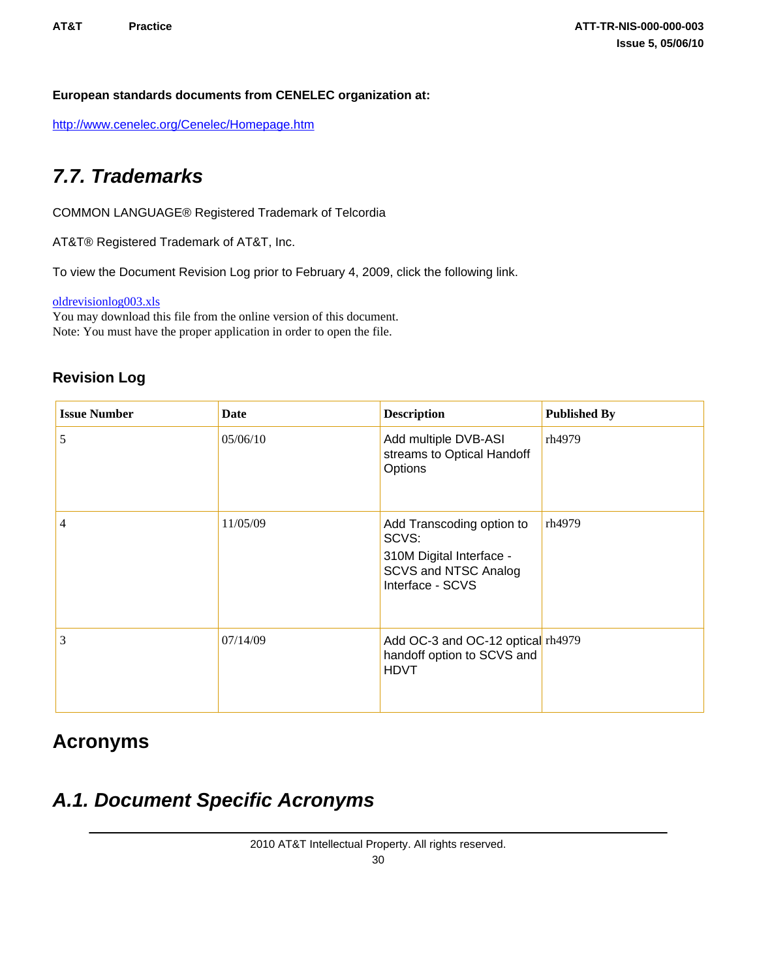#### <span id="page-33-0"></span>**European standards documents from CENELEC organization at:**

<http://www.cenelec.org/Cenelec/Homepage.htm>

## *7.7. Trademarks*

COMMON LANGUAGE® Registered Trademark of Telcordia

AT&T® Registered Trademark of AT&T, Inc.

To view the Document Revision Log prior to February 4, 2009, click the following link.

[oldrevisionlog003.xls](/books/ATT-TR-NIS-000-000-003/figures/oldrevisionlog003.xls)

You may download this file from the online version of this document. Note: You must have the proper application in order to open the file.

### **Revision Log**

| <b>Issue Number</b> | Date     | <b>Description</b>                                                                                         | <b>Published By</b> |
|---------------------|----------|------------------------------------------------------------------------------------------------------------|---------------------|
| 5                   | 05/06/10 | Add multiple DVB-ASI<br>streams to Optical Handoff<br>Options                                              | rh4979              |
| $\overline{4}$      | 11/05/09 | Add Transcoding option to<br>SCVS:<br>310M Digital Interface -<br>SCVS and NTSC Analog<br>Interface - SCVS | rh4979              |
| 3                   | 07/14/09 | Add OC-3 and OC-12 optical rh4979<br>handoff option to SCVS and<br><b>HDVT</b>                             |                     |

### **Acronyms**

## *A.1. Document Specific Acronyms*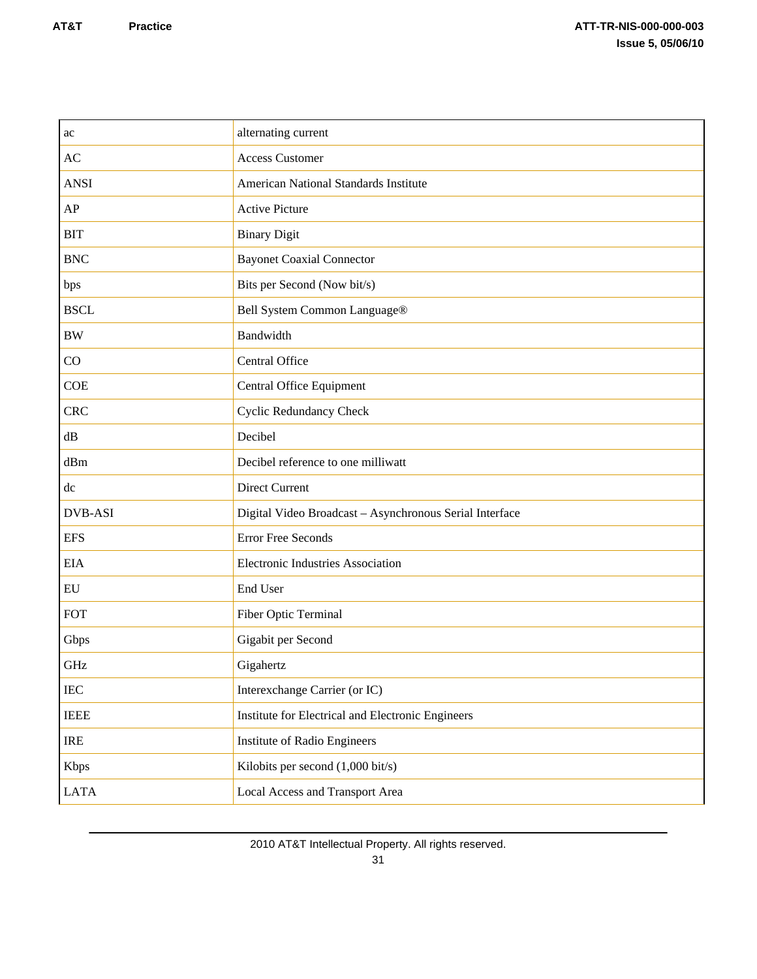| alternating current                                     |
|---------------------------------------------------------|
| <b>Access Customer</b>                                  |
| <b>American National Standards Institute</b>            |
| <b>Active Picture</b>                                   |
| <b>Binary Digit</b>                                     |
| <b>Bayonet Coaxial Connector</b>                        |
| Bits per Second (Now bit/s)                             |
| Bell System Common Language®                            |
| Bandwidth                                               |
| Central Office                                          |
| Central Office Equipment                                |
| <b>Cyclic Redundancy Check</b>                          |
| Decibel                                                 |
| Decibel reference to one milliwatt                      |
| <b>Direct Current</b>                                   |
| Digital Video Broadcast - Asynchronous Serial Interface |
| <b>Error Free Seconds</b>                               |
| <b>Electronic Industries Association</b>                |
| End User                                                |
| Fiber Optic Terminal                                    |
| Gigabit per Second                                      |
| Gigahertz                                               |
| Interexchange Carrier (or IC)                           |
| Institute for Electrical and Electronic Engineers       |
| Institute of Radio Engineers                            |
| Kilobits per second (1,000 bit/s)                       |
| Local Access and Transport Area                         |
|                                                         |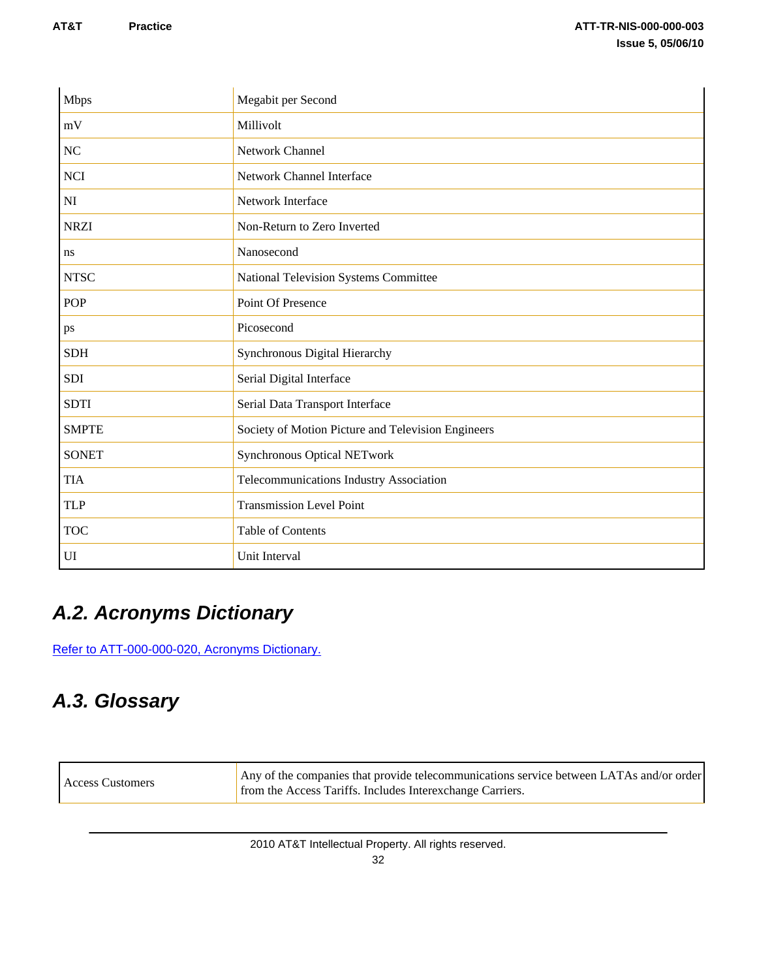<span id="page-35-0"></span>

| <b>Mbps</b>  | Megabit per Second                                 |
|--------------|----------------------------------------------------|
| mV           | Millivolt                                          |
| <b>NC</b>    | Network Channel                                    |
| <b>NCI</b>   | Network Channel Interface                          |
| NI           | Network Interface                                  |
| <b>NRZI</b>  | Non-Return to Zero Inverted                        |
| ns           | Nanosecond                                         |
| <b>NTSC</b>  | National Television Systems Committee              |
| <b>POP</b>   | Point Of Presence                                  |
| ps           | Picosecond                                         |
| <b>SDH</b>   | Synchronous Digital Hierarchy                      |
| <b>SDI</b>   | Serial Digital Interface                           |
| <b>SDTI</b>  | Serial Data Transport Interface                    |
| <b>SMPTE</b> | Society of Motion Picture and Television Engineers |
| <b>SONET</b> | Synchronous Optical NETwork                        |
| <b>TIA</b>   | Telecommunications Industry Association            |
| <b>TLP</b>   | <b>Transmission Level Point</b>                    |
| <b>TOC</b>   | Table of Contents                                  |
| UI           | Unit Interval                                      |

# *A.2. Acronyms Dictionary*

[Refer to ATT-000-000-020, Acronyms Dictionary.](http://apex.web.att.com/bookview/bookview.jsp?bookname=ATT-000-000-020§ion=atdoctitle) 

# *A.3. Glossary*

| Any of the companies that provide telecommunications service between LATAs and/or order<br>Access Customers<br>from the Access Tariffs. Includes Interexchange Carriers. |
|--------------------------------------------------------------------------------------------------------------------------------------------------------------------------|
|--------------------------------------------------------------------------------------------------------------------------------------------------------------------------|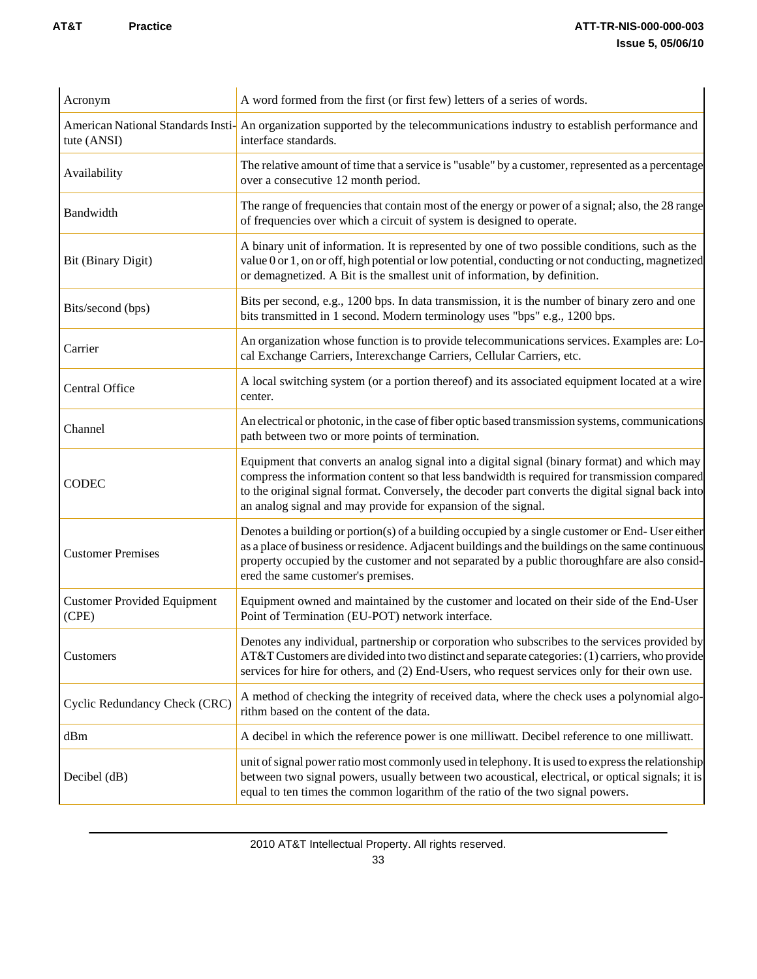#### **AT&T** Practice **Practice Practice ATT-TR-NIS-000-000-003 Issue 5, 05/06/10**

| Acronym                                     | A word formed from the first (or first few) letters of a series of words.                                                                                                                                                                                                                                                                                           |
|---------------------------------------------|---------------------------------------------------------------------------------------------------------------------------------------------------------------------------------------------------------------------------------------------------------------------------------------------------------------------------------------------------------------------|
| tute (ANSI)                                 | American National Standards Insti-<br>An organization supported by the telecommunications industry to establish performance and<br>interface standards.                                                                                                                                                                                                             |
| Availability                                | The relative amount of time that a service is "usable" by a customer, represented as a percentage<br>over a consecutive 12 month period.                                                                                                                                                                                                                            |
| Bandwidth                                   | The range of frequencies that contain most of the energy or power of a signal; also, the 28 range<br>of frequencies over which a circuit of system is designed to operate.                                                                                                                                                                                          |
| Bit (Binary Digit)                          | A binary unit of information. It is represented by one of two possible conditions, such as the<br>value 0 or 1, on or off, high potential or low potential, conducting or not conducting, magnetized<br>or demagnetized. A Bit is the smallest unit of information, by definition.                                                                                  |
| Bits/second (bps)                           | Bits per second, e.g., 1200 bps. In data transmission, it is the number of binary zero and one<br>bits transmitted in 1 second. Modern terminology uses "bps" e.g., 1200 bps.                                                                                                                                                                                       |
| Carrier                                     | An organization whose function is to provide telecommunications services. Examples are: Lo-<br>cal Exchange Carriers, Interexchange Carriers, Cellular Carriers, etc.                                                                                                                                                                                               |
| Central Office                              | A local switching system (or a portion thereof) and its associated equipment located at a wire<br>center.                                                                                                                                                                                                                                                           |
| Channel                                     | An electrical or photonic, in the case of fiber optic based transmission systems, communications<br>path between two or more points of termination.                                                                                                                                                                                                                 |
| <b>CODEC</b>                                | Equipment that converts an analog signal into a digital signal (binary format) and which may<br>compress the information content so that less bandwidth is required for transmission compared<br>to the original signal format. Conversely, the decoder part converts the digital signal back into<br>an analog signal and may provide for expansion of the signal. |
| <b>Customer Premises</b>                    | Denotes a building or portion(s) of a building occupied by a single customer or End-User either<br>as a place of business or residence. Adjacent buildings and the buildings on the same continuous<br>property occupied by the customer and not separated by a public thoroughfare are also consid-<br>ered the same customer's premises.                          |
| <b>Customer Provided Equipment</b><br>(CPE) | Equipment owned and maintained by the customer and located on their side of the End-User<br>Point of Termination (EU-POT) network interface.                                                                                                                                                                                                                        |
| Customers                                   | Denotes any individual, partnership or corporation who subscribes to the services provided by<br>AT&T Customers are divided into two distinct and separate categories: (1) carriers, who provide<br>services for hire for others, and (2) End-Users, who request services only for their own use.                                                                   |
| Cyclic Redundancy Check (CRC)               | A method of checking the integrity of received data, where the check uses a polynomial algo-<br>rithm based on the content of the data.                                                                                                                                                                                                                             |
| dBm                                         | A decibel in which the reference power is one milliwatt. Decibel reference to one milliwatt.                                                                                                                                                                                                                                                                        |
| Decibel (dB)                                | unit of signal power ratio most commonly used in telephony. It is used to express the relationship<br>between two signal powers, usually between two acoustical, electrical, or optical signals; it is<br>equal to ten times the common logarithm of the ratio of the two signal powers.                                                                            |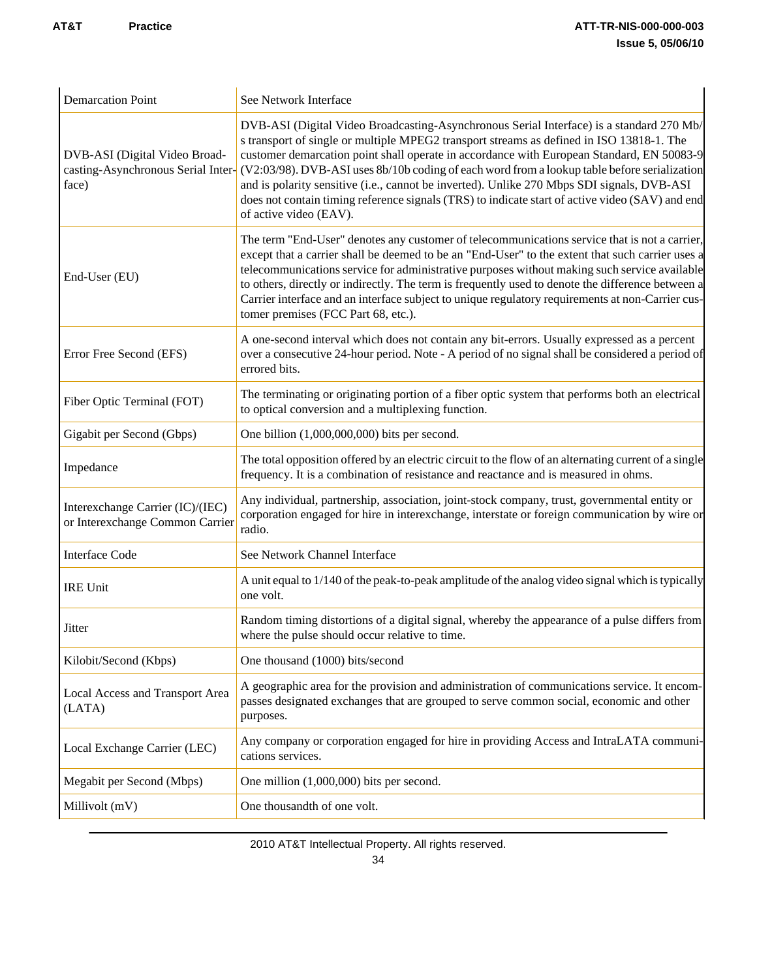| <b>Demarcation Point</b>                                            | See Network Interface                                                                                                                                                                                                                                                                                                                                                                                                                                                                                                                                                                                                                           |
|---------------------------------------------------------------------|-------------------------------------------------------------------------------------------------------------------------------------------------------------------------------------------------------------------------------------------------------------------------------------------------------------------------------------------------------------------------------------------------------------------------------------------------------------------------------------------------------------------------------------------------------------------------------------------------------------------------------------------------|
| DVB-ASI (Digital Video Broad-<br>face)                              | DVB-ASI (Digital Video Broadcasting-Asynchronous Serial Interface) is a standard 270 Mb/<br>s transport of single or multiple MPEG2 transport streams as defined in ISO 13818-1. The<br>customer demarcation point shall operate in accordance with European Standard, EN 50083-9<br>casting-Asynchronous Serial Inter- (V2:03/98). DVB-ASI uses 8b/10b coding of each word from a lookup table before serialization<br>and is polarity sensitive (i.e., cannot be inverted). Unlike 270 Mbps SDI signals, DVB-ASI<br>does not contain timing reference signals (TRS) to indicate start of active video (SAV) and end<br>of active video (EAV). |
| End-User (EU)                                                       | The term "End-User" denotes any customer of telecommunications service that is not a carrier,<br>except that a carrier shall be deemed to be an "End-User" to the extent that such carrier uses a<br>telecommunications service for administrative purposes without making such service available<br>to others, directly or indirectly. The term is frequently used to denote the difference between a<br>Carrier interface and an interface subject to unique regulatory requirements at non-Carrier cus-<br>tomer premises (FCC Part 68, etc.).                                                                                               |
| Error Free Second (EFS)                                             | A one-second interval which does not contain any bit-errors. Usually expressed as a percent<br>over a consecutive 24-hour period. Note - A period of no signal shall be considered a period of<br>errored bits.                                                                                                                                                                                                                                                                                                                                                                                                                                 |
| Fiber Optic Terminal (FOT)                                          | The terminating or originating portion of a fiber optic system that performs both an electrical<br>to optical conversion and a multiplexing function.                                                                                                                                                                                                                                                                                                                                                                                                                                                                                           |
| Gigabit per Second (Gbps)                                           | One billion $(1,000,000,000)$ bits per second.                                                                                                                                                                                                                                                                                                                                                                                                                                                                                                                                                                                                  |
| Impedance                                                           | The total opposition offered by an electric circuit to the flow of an alternating current of a single<br>frequency. It is a combination of resistance and reactance and is measured in ohms.                                                                                                                                                                                                                                                                                                                                                                                                                                                    |
| Interexchange Carrier (IC)/(IEC)<br>or Interexchange Common Carrier | Any individual, partnership, association, joint-stock company, trust, governmental entity or<br>corporation engaged for hire in interexchange, interstate or foreign communication by wire or<br>radio.                                                                                                                                                                                                                                                                                                                                                                                                                                         |
| <b>Interface Code</b>                                               | See Network Channel Interface                                                                                                                                                                                                                                                                                                                                                                                                                                                                                                                                                                                                                   |
| <b>IRE Unit</b>                                                     | A unit equal to 1/140 of the peak-to-peak amplitude of the analog video signal which is typically<br>one volt.                                                                                                                                                                                                                                                                                                                                                                                                                                                                                                                                  |
| Jitter                                                              | Random timing distortions of a digital signal, whereby the appearance of a pulse differs from<br>where the pulse should occur relative to time.                                                                                                                                                                                                                                                                                                                                                                                                                                                                                                 |
| Kilobit/Second (Kbps)                                               | One thousand (1000) bits/second                                                                                                                                                                                                                                                                                                                                                                                                                                                                                                                                                                                                                 |
| Local Access and Transport Area<br>(LATA)                           | A geographic area for the provision and administration of communications service. It encom-<br>passes designated exchanges that are grouped to serve common social, economic and other<br>purposes.                                                                                                                                                                                                                                                                                                                                                                                                                                             |
| Local Exchange Carrier (LEC)                                        | Any company or corporation engaged for hire in providing Access and IntraLATA communi-<br>cations services.                                                                                                                                                                                                                                                                                                                                                                                                                                                                                                                                     |
| Megabit per Second (Mbps)                                           | One million $(1,000,000)$ bits per second.                                                                                                                                                                                                                                                                                                                                                                                                                                                                                                                                                                                                      |
| Millivolt (mV)                                                      | One thousandth of one volt.                                                                                                                                                                                                                                                                                                                                                                                                                                                                                                                                                                                                                     |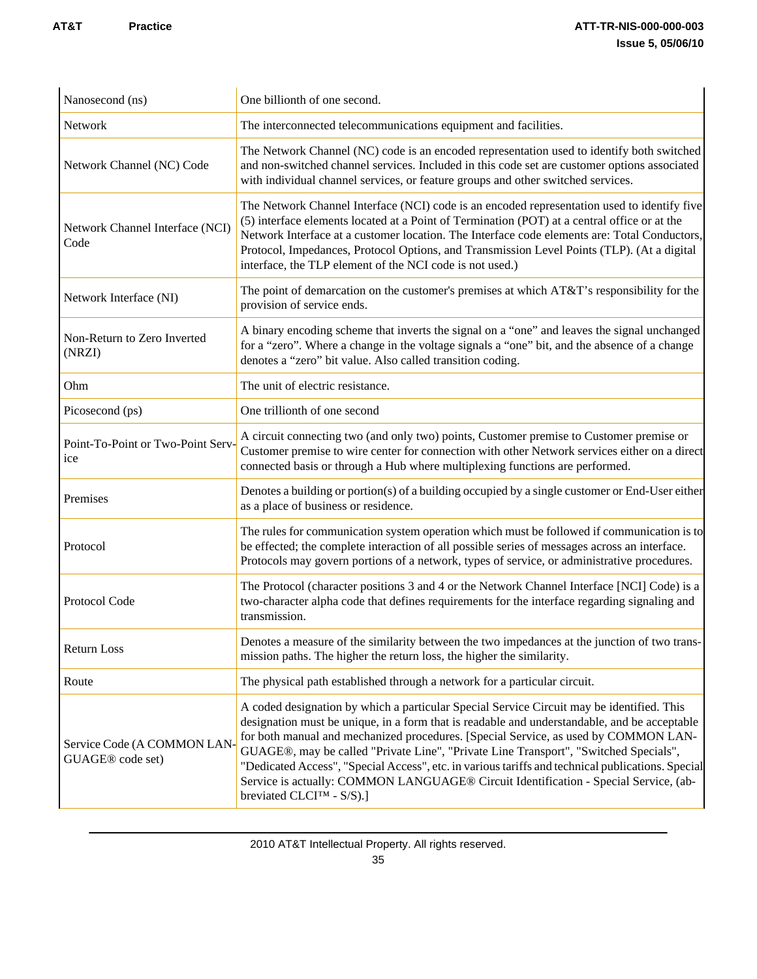| Nanosecond (ns)                                     | One billionth of one second.                                                                                                                                                                                                                                                                                                                                                                                                                                                                                                                                                                                   |
|-----------------------------------------------------|----------------------------------------------------------------------------------------------------------------------------------------------------------------------------------------------------------------------------------------------------------------------------------------------------------------------------------------------------------------------------------------------------------------------------------------------------------------------------------------------------------------------------------------------------------------------------------------------------------------|
| Network                                             | The interconnected telecommunications equipment and facilities.                                                                                                                                                                                                                                                                                                                                                                                                                                                                                                                                                |
| Network Channel (NC) Code                           | The Network Channel (NC) code is an encoded representation used to identify both switched<br>and non-switched channel services. Included in this code set are customer options associated<br>with individual channel services, or feature groups and other switched services.                                                                                                                                                                                                                                                                                                                                  |
| Network Channel Interface (NCI)<br>Code             | The Network Channel Interface (NCI) code is an encoded representation used to identify five<br>(5) interface elements located at a Point of Termination (POT) at a central office or at the<br>Network Interface at a customer location. The Interface code elements are: Total Conductors,<br>Protocol, Impedances, Protocol Options, and Transmission Level Points (TLP). (At a digital<br>interface, the TLP element of the NCI code is not used.)                                                                                                                                                          |
| Network Interface (NI)                              | The point of demarcation on the customer's premises at which AT&T's responsibility for the<br>provision of service ends.                                                                                                                                                                                                                                                                                                                                                                                                                                                                                       |
| Non-Return to Zero Inverted<br>(NRZI)               | A binary encoding scheme that inverts the signal on a "one" and leaves the signal unchanged<br>for a "zero". Where a change in the voltage signals a "one" bit, and the absence of a change<br>denotes a "zero" bit value. Also called transition coding.                                                                                                                                                                                                                                                                                                                                                      |
| Ohm                                                 | The unit of electric resistance.                                                                                                                                                                                                                                                                                                                                                                                                                                                                                                                                                                               |
| Picosecond (ps)                                     | One trillionth of one second                                                                                                                                                                                                                                                                                                                                                                                                                                                                                                                                                                                   |
| Point-To-Point or Two-Point Serv-<br><sub>ice</sub> | A circuit connecting two (and only two) points, Customer premise to Customer premise or<br>Customer premise to wire center for connection with other Network services either on a direct<br>connected basis or through a Hub where multiplexing functions are performed.                                                                                                                                                                                                                                                                                                                                       |
| Premises                                            | Denotes a building or portion(s) of a building occupied by a single customer or End-User either<br>as a place of business or residence.                                                                                                                                                                                                                                                                                                                                                                                                                                                                        |
| Protocol                                            | The rules for communication system operation which must be followed if communication is to<br>be effected; the complete interaction of all possible series of messages across an interface.<br>Protocols may govern portions of a network, types of service, or administrative procedures.                                                                                                                                                                                                                                                                                                                     |
| Protocol Code                                       | The Protocol (character positions 3 and 4 or the Network Channel Interface [NCI] Code) is a<br>two-character alpha code that defines requirements for the interface regarding signaling and<br>transmission.                                                                                                                                                                                                                                                                                                                                                                                                   |
| Return Loss                                         | Denotes a measure of the similarity between the two impedances at the junction of two trans-<br>mission paths. The higher the return loss, the higher the similarity.                                                                                                                                                                                                                                                                                                                                                                                                                                          |
| Route                                               | The physical path established through a network for a particular circuit.                                                                                                                                                                                                                                                                                                                                                                                                                                                                                                                                      |
| Service Code (A COMMON LAN<br>GUAGE® code set)      | A coded designation by which a particular Special Service Circuit may be identified. This<br>designation must be unique, in a form that is readable and understandable, and be acceptable<br>for both manual and mechanized procedures. [Special Service, as used by COMMON LAN-<br>GUAGE®, may be called "Private Line", "Private Line Transport", "Switched Specials",<br>"Dedicated Access", "Special Access", etc. in various tariffs and technical publications. Special<br>Service is actually: COMMON LANGUAGE® Circuit Identification - Special Service, (ab-<br>breviated CLCI <sup>TM</sup> - S/S).] |